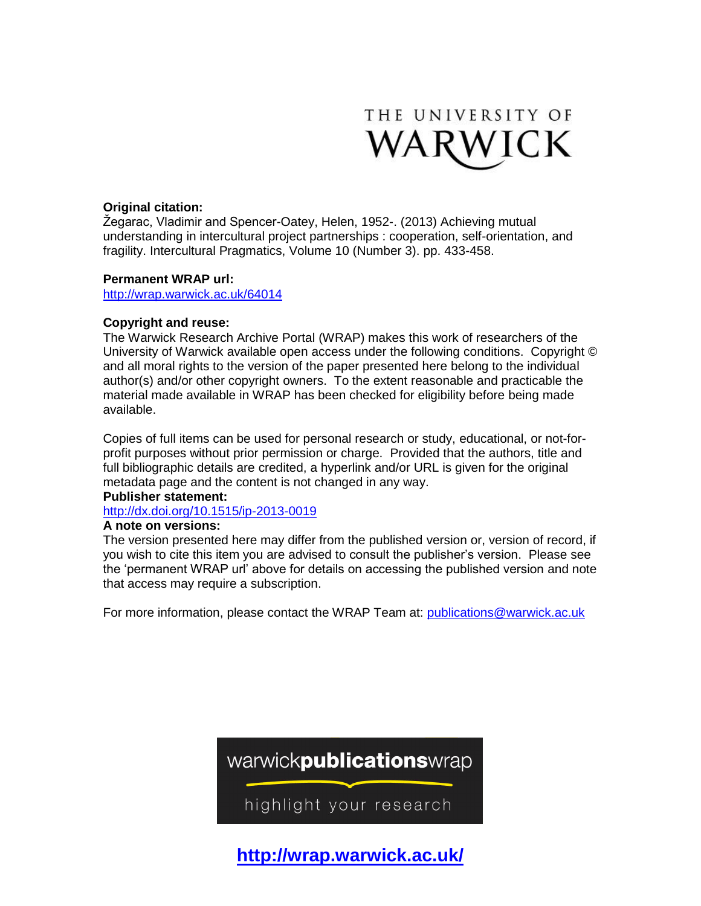

# **Original citation:**

Žegarac, Vladimir and Spencer-Oatey, Helen, 1952-. (2013) Achieving mutual understanding in intercultural project partnerships : cooperation, self-orientation, and fragility. Intercultural Pragmatics, Volume 10 (Number 3). pp. 433-458.

# **Permanent WRAP url:**

<http://wrap.warwick.ac.uk/64014>

# **Copyright and reuse:**

The Warwick Research Archive Portal (WRAP) makes this work of researchers of the University of Warwick available open access under the following conditions. Copyright © and all moral rights to the version of the paper presented here belong to the individual author(s) and/or other copyright owners. To the extent reasonable and practicable the material made available in WRAP has been checked for eligibility before being made available.

Copies of full items can be used for personal research or study, educational, or not-forprofit purposes without prior permission or charge. Provided that the authors, title and full bibliographic details are credited, a hyperlink and/or URL is given for the original metadata page and the content is not changed in any way.

# **Publisher statement:**

# <http://dx.doi.org/10.1515/ip-2013-0019>

# **A note on versions:**

The version presented here may differ from the published version or, version of record, if you wish to cite this item you are advised to consult the publisher's version. Please see the 'permanent WRAP url' above for details on accessing the published version and note that access may require a subscription.

For more information, please contact the WRAP Team at: [publications@warwick.ac.uk](mailto:publications@warwick.ac.uk)



highlight your research

**<http://wrap.warwick.ac.uk/>**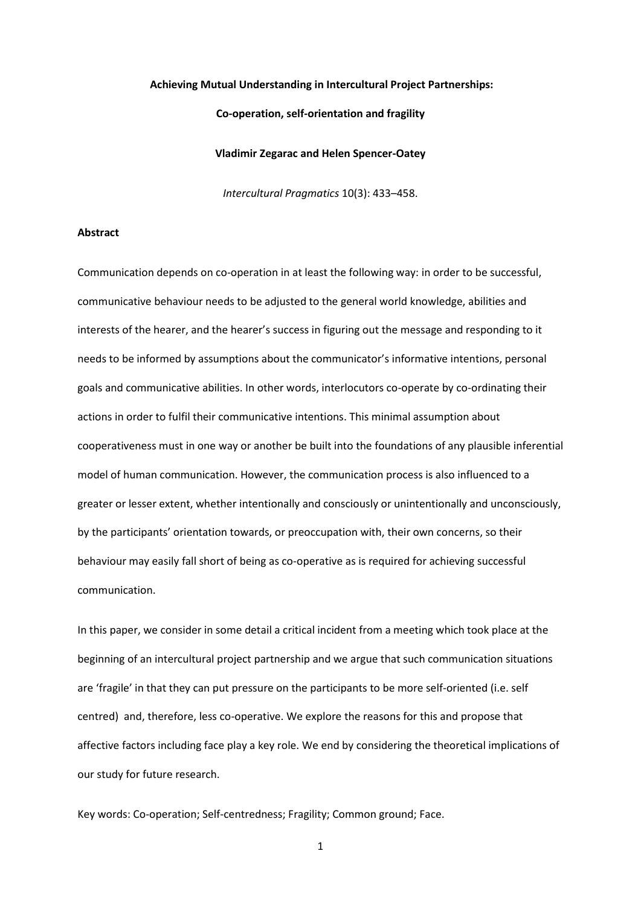# **Achieving Mutual Understanding in Intercultural Project Partnerships:**

#### **Co-operation, self-orientation and fragility**

**Vladimir Zegarac and Helen Spencer-Oatey**

*Intercultural Pragmatics* 10(3): 433–458.

## **Abstract**

Communication depends on co-operation in at least the following way: in order to be successful, communicative behaviour needs to be adjusted to the general world knowledge, abilities and interests of the hearer, and the hearer's success in figuring out the message and responding to it needs to be informed by assumptions about the communicator's informative intentions, personal goals and communicative abilities. In other words, interlocutors co-operate by co-ordinating their actions in order to fulfil their communicative intentions. This minimal assumption about cooperativeness must in one way or another be built into the foundations of any plausible inferential model of human communication. However, the communication process is also influenced to a greater or lesser extent, whether intentionally and consciously or unintentionally and unconsciously, by the participants' orientation towards, or preoccupation with, their own concerns, so their behaviour may easily fall short of being as co-operative as is required for achieving successful communication.

In this paper, we consider in some detail a critical incident from a meeting which took place at the beginning of an intercultural project partnership and we argue that such communication situations are 'fragile' in that they can put pressure on the participants to be more self-oriented (i.e. self centred) and, therefore, less co-operative. We explore the reasons for this and propose that affective factors including face play a key role. We end by considering the theoretical implications of our study for future research.

Key words: Co-operation; Self-centredness; Fragility; Common ground; Face.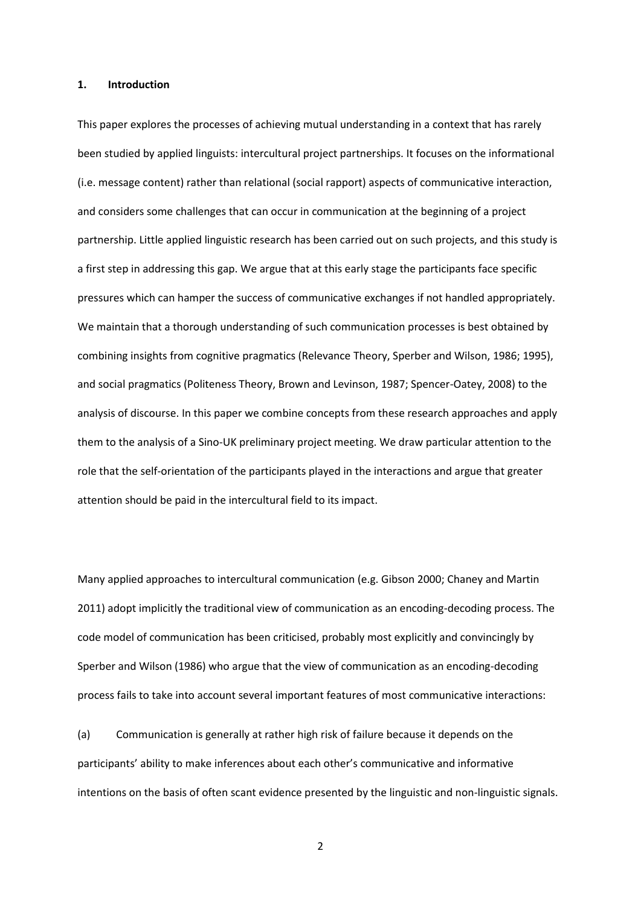#### **1. Introduction**

This paper explores the processes of achieving mutual understanding in a context that has rarely been studied by applied linguists: intercultural project partnerships. It focuses on the informational (i.e. message content) rather than relational (social rapport) aspects of communicative interaction, and considers some challenges that can occur in communication at the beginning of a project partnership. Little applied linguistic research has been carried out on such projects, and this study is a first step in addressing this gap. We argue that at this early stage the participants face specific pressures which can hamper the success of communicative exchanges if not handled appropriately. We maintain that a thorough understanding of such communication processes is best obtained by combining insights from cognitive pragmatics (Relevance Theory, Sperber and Wilson, 1986; 1995), and social pragmatics (Politeness Theory, Brown and Levinson, 1987; Spencer-Oatey, 2008) to the analysis of discourse. In this paper we combine concepts from these research approaches and apply them to the analysis of a Sino-UK preliminary project meeting. We draw particular attention to the role that the self-orientation of the participants played in the interactions and argue that greater attention should be paid in the intercultural field to its impact.

Many applied approaches to intercultural communication (e.g. Gibson 2000; Chaney and Martin 2011) adopt implicitly the traditional view of communication as an encoding-decoding process. The code model of communication has been criticised, probably most explicitly and convincingly by Sperber and Wilson (1986) who argue that the view of communication as an encoding-decoding process fails to take into account several important features of most communicative interactions:

(a) Communication is generally at rather high risk of failure because it depends on the participants' ability to make inferences about each other's communicative and informative intentions on the basis of often scant evidence presented by the linguistic and non-linguistic signals.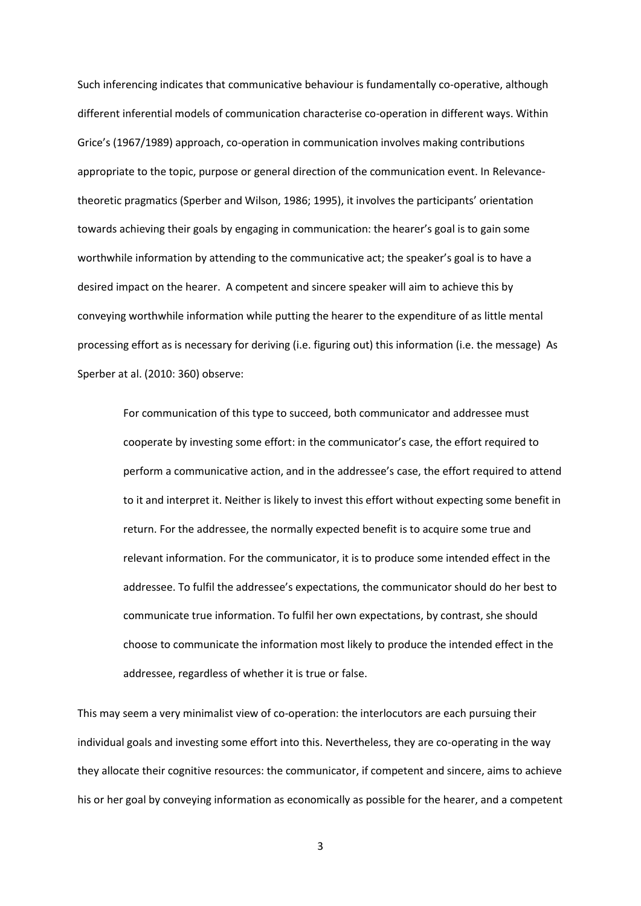Such inferencing indicates that communicative behaviour is fundamentally co-operative, although different inferential models of communication characterise co-operation in different ways. Within Grice's (1967/1989) approach, co-operation in communication involves making contributions appropriate to the topic, purpose or general direction of the communication event. In Relevancetheoretic pragmatics (Sperber and Wilson, 1986; 1995), it involves the participants' orientation towards achieving their goals by engaging in communication: the hearer's goal is to gain some worthwhile information by attending to the communicative act; the speaker's goal is to have a desired impact on the hearer. A competent and sincere speaker will aim to achieve this by conveying worthwhile information while putting the hearer to the expenditure of as little mental processing effort as is necessary for deriving (i.e. figuring out) this information (i.e. the message) As Sperber at al. (2010: 360) observe:

For communication of this type to succeed, both communicator and addressee must cooperate by investing some effort: in the communicator's case, the effort required to perform a communicative action, and in the addressee's case, the effort required to attend to it and interpret it. Neither is likely to invest this effort without expecting some benefit in return. For the addressee, the normally expected benefit is to acquire some true and relevant information. For the communicator, it is to produce some intended effect in the addressee. To fulfil the addressee's expectations, the communicator should do her best to communicate true information. To fulfil her own expectations, by contrast, she should choose to communicate the information most likely to produce the intended effect in the addressee, regardless of whether it is true or false.

This may seem a very minimalist view of co-operation: the interlocutors are each pursuing their individual goals and investing some effort into this. Nevertheless, they are co-operating in the way they allocate their cognitive resources: the communicator, if competent and sincere, aims to achieve his or her goal by conveying information as economically as possible for the hearer, and a competent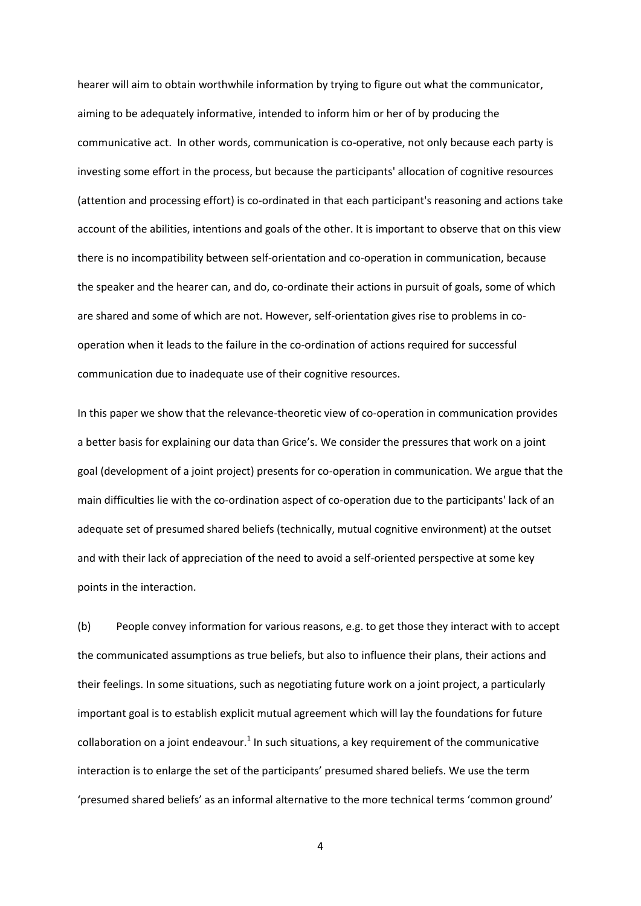hearer will aim to obtain worthwhile information by trying to figure out what the communicator, aiming to be adequately informative, intended to inform him or her of by producing the communicative act. In other words, communication is co-operative, not only because each party is investing some effort in the process, but because the participants' allocation of cognitive resources (attention and processing effort) is co-ordinated in that each participant's reasoning and actions take account of the abilities, intentions and goals of the other. It is important to observe that on this view there is no incompatibility between self-orientation and co-operation in communication, because the speaker and the hearer can, and do, co-ordinate their actions in pursuit of goals, some of which are shared and some of which are not. However, self-orientation gives rise to problems in cooperation when it leads to the failure in the co-ordination of actions required for successful communication due to inadequate use of their cognitive resources.

In this paper we show that the relevance-theoretic view of co-operation in communication provides a better basis for explaining our data than Grice's. We consider the pressures that work on a joint goal (development of a joint project) presents for co-operation in communication. We argue that the main difficulties lie with the co-ordination aspect of co-operation due to the participants' lack of an adequate set of presumed shared beliefs (technically, mutual cognitive environment) at the outset and with their lack of appreciation of the need to avoid a self-oriented perspective at some key points in the interaction.

(b) People convey information for various reasons, e.g. to get those they interact with to accept the communicated assumptions as true beliefs, but also to influence their plans, their actions and their feelings. In some situations, such as negotiating future work on a joint project, a particularly important goal is to establish explicit mutual agreement which will lay the foundations for future collaboration on a joint endeavour.<sup>1</sup> In such situations, a key requirement of the communicative interaction is to enlarge the set of the participants' presumed shared beliefs. We use the term 'presumed shared beliefs' as an informal alternative to the more technical terms 'common ground'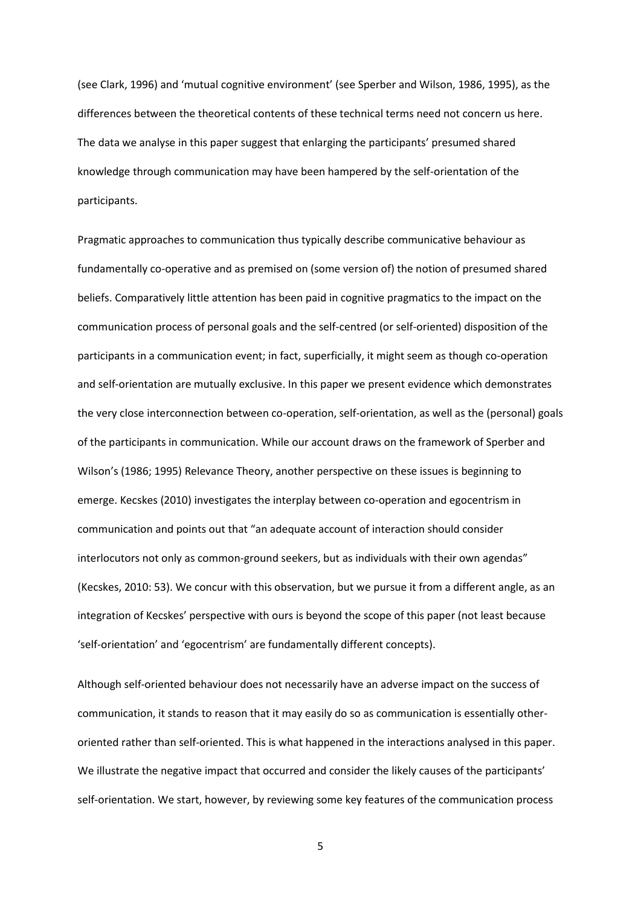(see Clark, 1996) and 'mutual cognitive environment' (see Sperber and Wilson, 1986, 1995), as the differences between the theoretical contents of these technical terms need not concern us here. The data we analyse in this paper suggest that enlarging the participants' presumed shared knowledge through communication may have been hampered by the self-orientation of the participants.

Pragmatic approaches to communication thus typically describe communicative behaviour as fundamentally co-operative and as premised on (some version of) the notion of presumed shared beliefs. Comparatively little attention has been paid in cognitive pragmatics to the impact on the communication process of personal goals and the self-centred (or self-oriented) disposition of the participants in a communication event; in fact, superficially, it might seem as though co-operation and self-orientation are mutually exclusive. In this paper we present evidence which demonstrates the very close interconnection between co-operation, self-orientation, as well as the (personal) goals of the participants in communication. While our account draws on the framework of Sperber and Wilson's (1986; 1995) Relevance Theory, another perspective on these issues is beginning to emerge. Kecskes (2010) investigates the interplay between co-operation and egocentrism in communication and points out that "an adequate account of interaction should consider interlocutors not only as common-ground seekers, but as individuals with their own agendas" (Kecskes, 2010: 53). We concur with this observation, but we pursue it from a different angle, as an integration of Kecskes' perspective with ours is beyond the scope of this paper (not least because 'self-orientation' and 'egocentrism' are fundamentally different concepts).

Although self-oriented behaviour does not necessarily have an adverse impact on the success of communication, it stands to reason that it may easily do so as communication is essentially otheroriented rather than self-oriented. This is what happened in the interactions analysed in this paper. We illustrate the negative impact that occurred and consider the likely causes of the participants' self-orientation. We start, however, by reviewing some key features of the communication process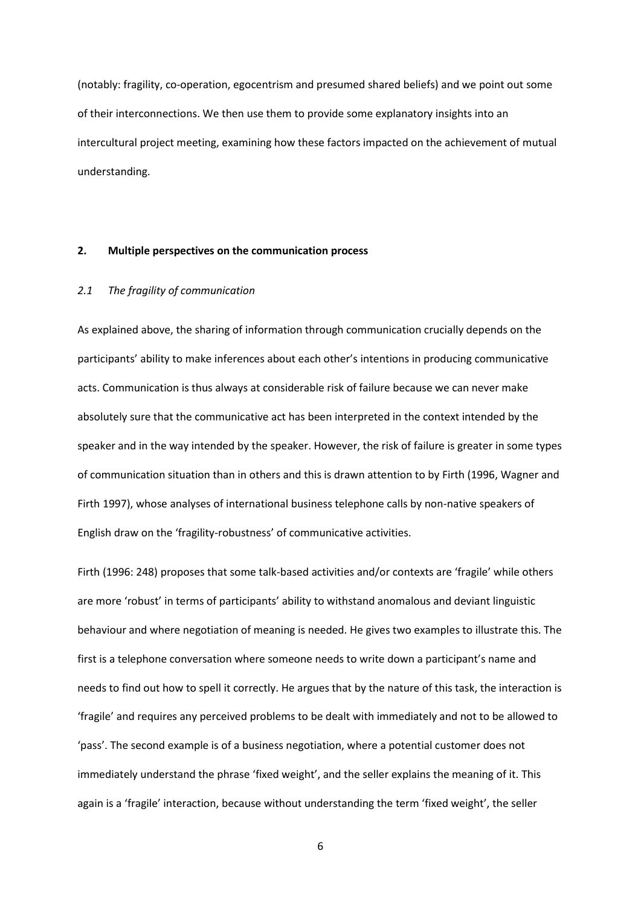(notably: fragility, co-operation, egocentrism and presumed shared beliefs) and we point out some of their interconnections. We then use them to provide some explanatory insights into an intercultural project meeting, examining how these factors impacted on the achievement of mutual understanding.

### **2. Multiple perspectives on the communication process**

### *2.1 The fragility of communication*

As explained above, the sharing of information through communication crucially depends on the participants' ability to make inferences about each other's intentions in producing communicative acts. Communication is thus always at considerable risk of failure because we can never make absolutely sure that the communicative act has been interpreted in the context intended by the speaker and in the way intended by the speaker. However, the risk of failure is greater in some types of communication situation than in others and this is drawn attention to by Firth (1996, Wagner and Firth 1997), whose analyses of international business telephone calls by non-native speakers of English draw on the 'fragility-robustness' of communicative activities.

Firth (1996: 248) proposes that some talk-based activities and/or contexts are 'fragile' while others are more 'robust' in terms of participants' ability to withstand anomalous and deviant linguistic behaviour and where negotiation of meaning is needed. He gives two examples to illustrate this. The first is a telephone conversation where someone needs to write down a participant's name and needs to find out how to spell it correctly. He argues that by the nature of this task, the interaction is 'fragile' and requires any perceived problems to be dealt with immediately and not to be allowed to 'pass'. The second example is of a business negotiation, where a potential customer does not immediately understand the phrase 'fixed weight', and the seller explains the meaning of it. This again is a 'fragile' interaction, because without understanding the term 'fixed weight', the seller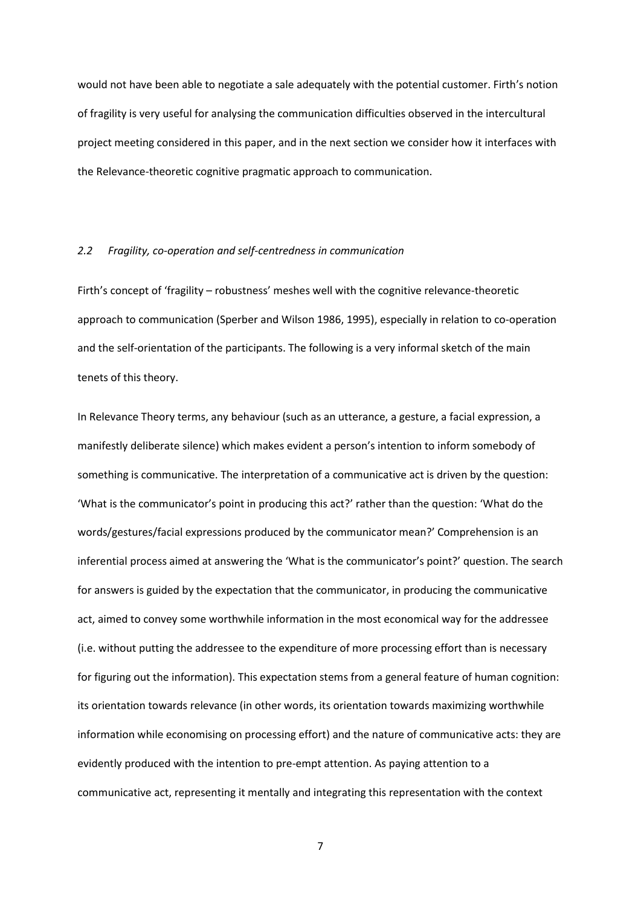would not have been able to negotiate a sale adequately with the potential customer. Firth's notion of fragility is very useful for analysing the communication difficulties observed in the intercultural project meeting considered in this paper, and in the next section we consider how it interfaces with the Relevance-theoretic cognitive pragmatic approach to communication.

#### *2.2 Fragility, co-operation and self-centredness in communication*

Firth's concept of 'fragility – robustness' meshes well with the cognitive relevance-theoretic approach to communication (Sperber and Wilson 1986, 1995), especially in relation to co-operation and the self-orientation of the participants. The following is a very informal sketch of the main tenets of this theory.

In Relevance Theory terms, any behaviour (such as an utterance, a gesture, a facial expression, a manifestly deliberate silence) which makes evident a person's intention to inform somebody of something is communicative. The interpretation of a communicative act is driven by the question: 'What is the communicator's point in producing this act?' rather than the question: 'What do the words/gestures/facial expressions produced by the communicator mean?' Comprehension is an inferential process aimed at answering the 'What is the communicator's point?' question. The search for answers is guided by the expectation that the communicator, in producing the communicative act, aimed to convey some worthwhile information in the most economical way for the addressee (i.e. without putting the addressee to the expenditure of more processing effort than is necessary for figuring out the information). This expectation stems from a general feature of human cognition: its orientation towards relevance (in other words, its orientation towards maximizing worthwhile information while economising on processing effort) and the nature of communicative acts: they are evidently produced with the intention to pre-empt attention. As paying attention to a communicative act, representing it mentally and integrating this representation with the context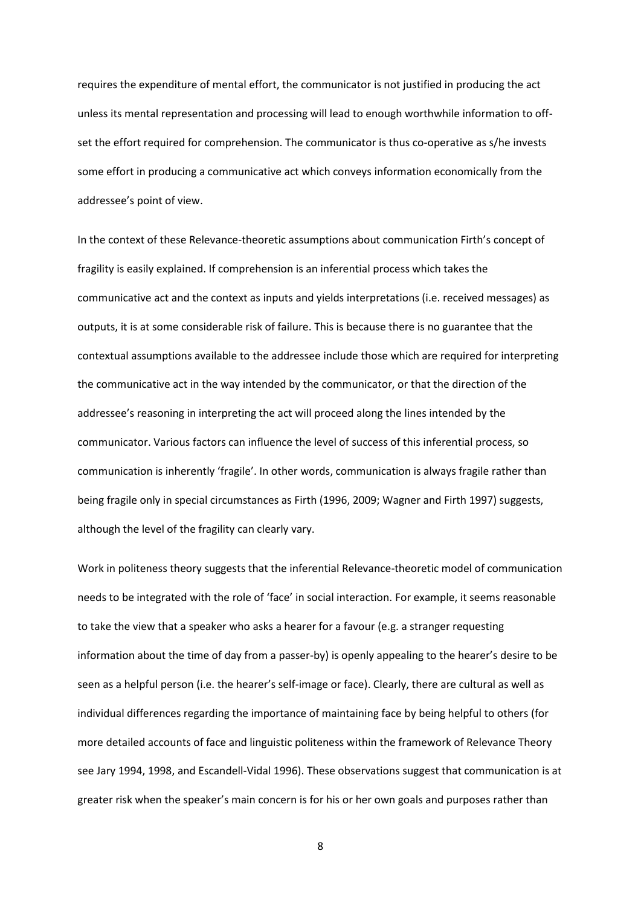requires the expenditure of mental effort, the communicator is not justified in producing the act unless its mental representation and processing will lead to enough worthwhile information to offset the effort required for comprehension. The communicator is thus co-operative as s/he invests some effort in producing a communicative act which conveys information economically from the addressee's point of view.

In the context of these Relevance-theoretic assumptions about communication Firth's concept of fragility is easily explained. If comprehension is an inferential process which takes the communicative act and the context as inputs and yields interpretations (i.e. received messages) as outputs, it is at some considerable risk of failure. This is because there is no guarantee that the contextual assumptions available to the addressee include those which are required for interpreting the communicative act in the way intended by the communicator, or that the direction of the addressee's reasoning in interpreting the act will proceed along the lines intended by the communicator. Various factors can influence the level of success of this inferential process, so communication is inherently 'fragile'. In other words, communication is always fragile rather than being fragile only in special circumstances as Firth (1996, 2009; Wagner and Firth 1997) suggests, although the level of the fragility can clearly vary.

Work in politeness theory suggests that the inferential Relevance-theoretic model of communication needs to be integrated with the role of 'face' in social interaction. For example, it seems reasonable to take the view that a speaker who asks a hearer for a favour (e.g. a stranger requesting information about the time of day from a passer-by) is openly appealing to the hearer's desire to be seen as a helpful person (i.e. the hearer's self-image or face). Clearly, there are cultural as well as individual differences regarding the importance of maintaining face by being helpful to others (for more detailed accounts of face and linguistic politeness within the framework of Relevance Theory see Jary 1994, 1998, and Escandell-Vidal 1996). These observations suggest that communication is at greater risk when the speaker's main concern is for his or her own goals and purposes rather than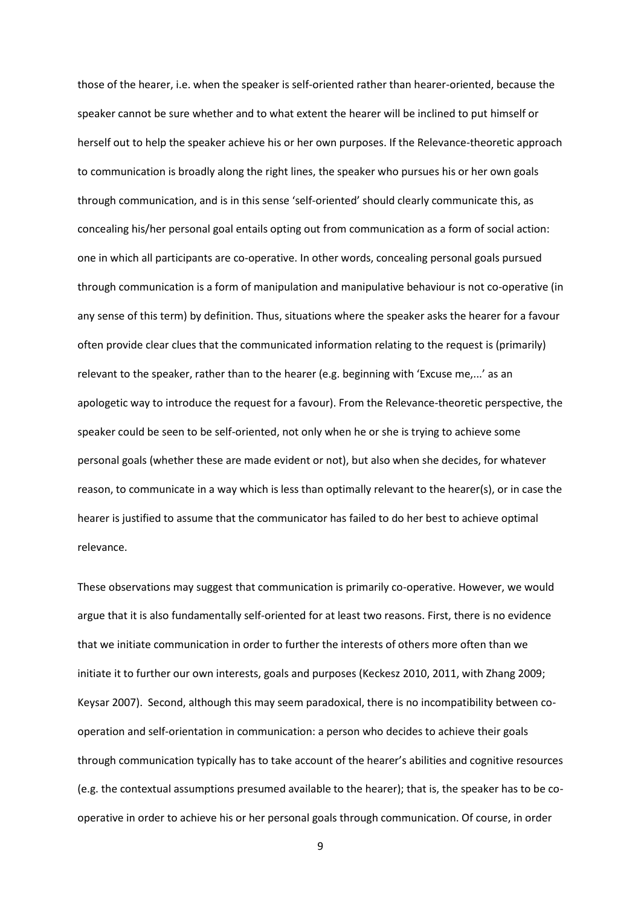those of the hearer, i.e. when the speaker is self-oriented rather than hearer-oriented, because the speaker cannot be sure whether and to what extent the hearer will be inclined to put himself or herself out to help the speaker achieve his or her own purposes. If the Relevance-theoretic approach to communication is broadly along the right lines, the speaker who pursues his or her own goals through communication, and is in this sense 'self-oriented' should clearly communicate this, as concealing his/her personal goal entails opting out from communication as a form of social action: one in which all participants are co-operative. In other words, concealing personal goals pursued through communication is a form of manipulation and manipulative behaviour is not co-operative (in any sense of this term) by definition. Thus, situations where the speaker asks the hearer for a favour often provide clear clues that the communicated information relating to the request is (primarily) relevant to the speaker, rather than to the hearer (e.g. beginning with 'Excuse me,...' as an apologetic way to introduce the request for a favour). From the Relevance-theoretic perspective, the speaker could be seen to be self-oriented, not only when he or she is trying to achieve some personal goals (whether these are made evident or not), but also when she decides, for whatever reason, to communicate in a way which is less than optimally relevant to the hearer(s), or in case the hearer is justified to assume that the communicator has failed to do her best to achieve optimal relevance.

These observations may suggest that communication is primarily co-operative. However, we would argue that it is also fundamentally self-oriented for at least two reasons. First, there is no evidence that we initiate communication in order to further the interests of others more often than we initiate it to further our own interests, goals and purposes (Keckesz 2010, 2011, with Zhang 2009; Keysar 2007). Second, although this may seem paradoxical, there is no incompatibility between cooperation and self-orientation in communication: a person who decides to achieve their goals through communication typically has to take account of the hearer's abilities and cognitive resources (e.g. the contextual assumptions presumed available to the hearer); that is, the speaker has to be cooperative in order to achieve his or her personal goals through communication. Of course, in order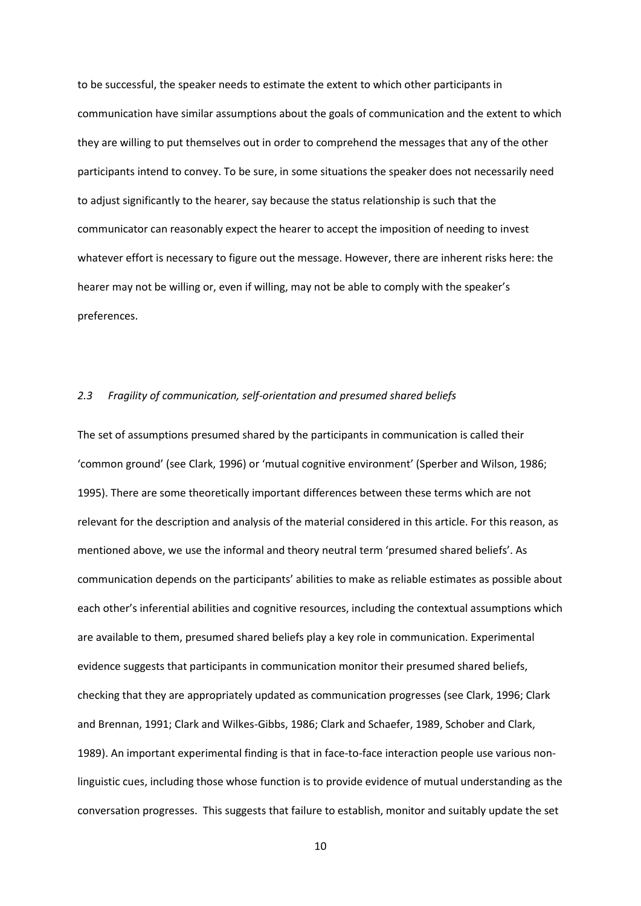to be successful, the speaker needs to estimate the extent to which other participants in communication have similar assumptions about the goals of communication and the extent to which they are willing to put themselves out in order to comprehend the messages that any of the other participants intend to convey. To be sure, in some situations the speaker does not necessarily need to adjust significantly to the hearer, say because the status relationship is such that the communicator can reasonably expect the hearer to accept the imposition of needing to invest whatever effort is necessary to figure out the message. However, there are inherent risks here: the hearer may not be willing or, even if willing, may not be able to comply with the speaker's preferences.

### *2.3 Fragility of communication, self-orientation and presumed shared beliefs*

The set of assumptions presumed shared by the participants in communication is called their 'common ground' (see Clark, 1996) or 'mutual cognitive environment' (Sperber and Wilson, 1986; 1995). There are some theoretically important differences between these terms which are not relevant for the description and analysis of the material considered in this article. For this reason, as mentioned above, we use the informal and theory neutral term 'presumed shared beliefs'. As communication depends on the participants' abilities to make as reliable estimates as possible about each other's inferential abilities and cognitive resources, including the contextual assumptions which are available to them, presumed shared beliefs play a key role in communication. Experimental evidence suggests that participants in communication monitor their presumed shared beliefs, checking that they are appropriately updated as communication progresses (see Clark, 1996; Clark and Brennan, 1991; Clark and Wilkes-Gibbs, 1986; Clark and Schaefer, 1989, Schober and Clark, 1989). An important experimental finding is that in face-to-face interaction people use various nonlinguistic cues, including those whose function is to provide evidence of mutual understanding as the conversation progresses. This suggests that failure to establish, monitor and suitably update the set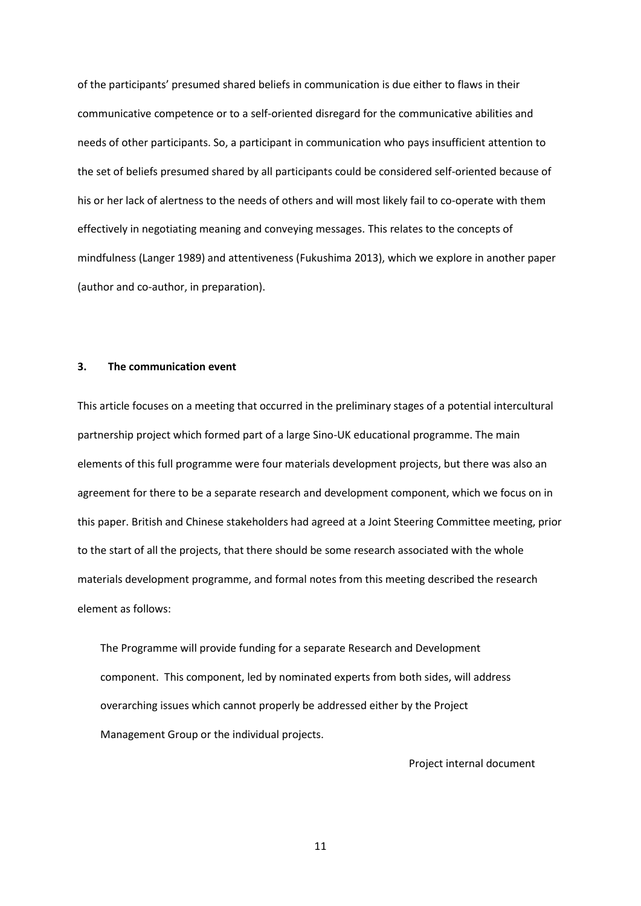of the participants' presumed shared beliefs in communication is due either to flaws in their communicative competence or to a self-oriented disregard for the communicative abilities and needs of other participants. So, a participant in communication who pays insufficient attention to the set of beliefs presumed shared by all participants could be considered self-oriented because of his or her lack of alertness to the needs of others and will most likely fail to co-operate with them effectively in negotiating meaning and conveying messages. This relates to the concepts of mindfulness (Langer 1989) and attentiveness (Fukushima 2013), which we explore in another paper (author and co-author, in preparation).

## **3. The communication event**

This article focuses on a meeting that occurred in the preliminary stages of a potential intercultural partnership project which formed part of a large Sino-UK educational programme. The main elements of this full programme were four materials development projects, but there was also an agreement for there to be a separate research and development component, which we focus on in this paper. British and Chinese stakeholders had agreed at a Joint Steering Committee meeting, prior to the start of all the projects, that there should be some research associated with the whole materials development programme, and formal notes from this meeting described the research element as follows:

The Programme will provide funding for a separate Research and Development component. This component, led by nominated experts from both sides, will address overarching issues which cannot properly be addressed either by the Project Management Group or the individual projects.

Project internal document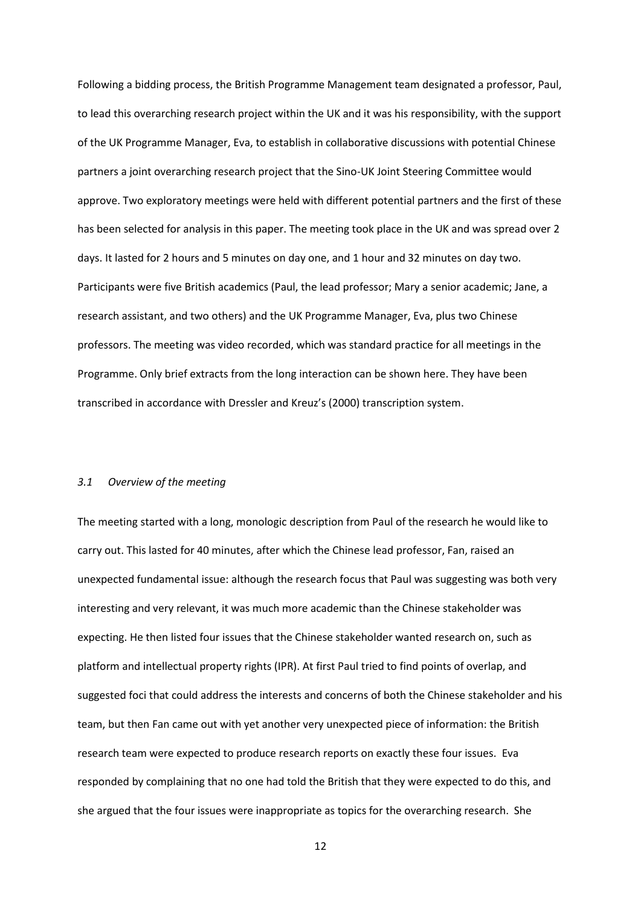Following a bidding process, the British Programme Management team designated a professor, Paul, to lead this overarching research project within the UK and it was his responsibility, with the support of the UK Programme Manager, Eva, to establish in collaborative discussions with potential Chinese partners a joint overarching research project that the Sino-UK Joint Steering Committee would approve. Two exploratory meetings were held with different potential partners and the first of these has been selected for analysis in this paper. The meeting took place in the UK and was spread over 2 days. It lasted for 2 hours and 5 minutes on day one, and 1 hour and 32 minutes on day two. Participants were five British academics (Paul, the lead professor; Mary a senior academic; Jane, a research assistant, and two others) and the UK Programme Manager, Eva, plus two Chinese professors. The meeting was video recorded, which was standard practice for all meetings in the Programme. Only brief extracts from the long interaction can be shown here. They have been transcribed in accordance with Dressler and Kreuz's (2000) transcription system.

#### *3.1 Overview of the meeting*

The meeting started with a long, monologic description from Paul of the research he would like to carry out. This lasted for 40 minutes, after which the Chinese lead professor, Fan, raised an unexpected fundamental issue: although the research focus that Paul was suggesting was both very interesting and very relevant, it was much more academic than the Chinese stakeholder was expecting. He then listed four issues that the Chinese stakeholder wanted research on, such as platform and intellectual property rights (IPR). At first Paul tried to find points of overlap, and suggested foci that could address the interests and concerns of both the Chinese stakeholder and his team, but then Fan came out with yet another very unexpected piece of information: the British research team were expected to produce research reports on exactly these four issues. Eva responded by complaining that no one had told the British that they were expected to do this, and she argued that the four issues were inappropriate as topics for the overarching research. She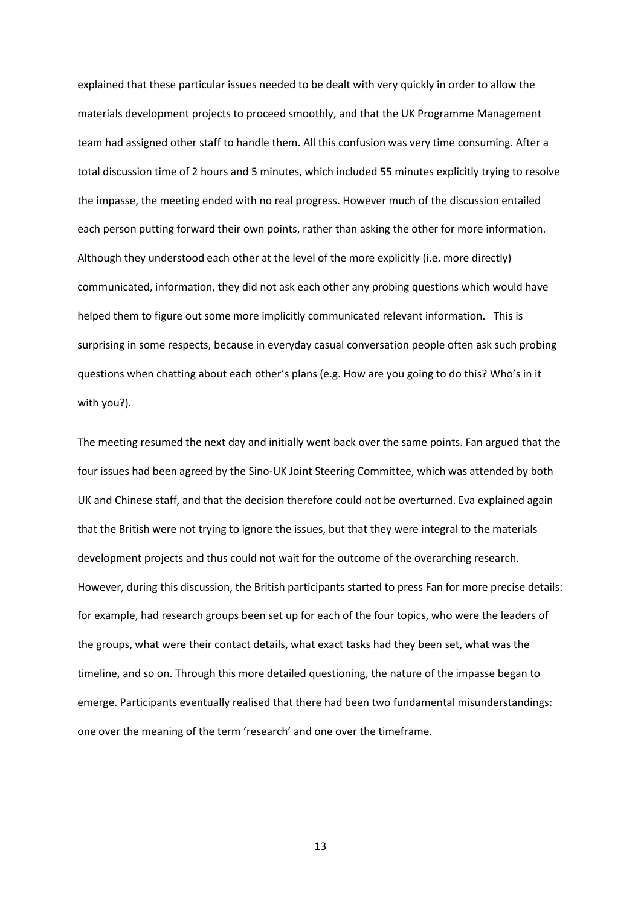explained that these particular issues needed to be dealt with very quickly in order to allow the materials development projects to proceed smoothly, and that the UK Programme Management team had assigned other staff to handle them. All this confusion was very time consuming. After a total discussion time of 2 hours and 5 minutes, which included 55 minutes explicitly trying to resolve the impasse, the meeting ended with no real progress. However much of the discussion entailed each person putting forward their own points, rather than asking the other for more information. Although they understood each other at the level of the more explicitly (i.e. more directly) communicated, information, they did not ask each other any probing questions which would have helped them to figure out some more implicitly communicated relevant information. This is surprising in some respects, because in everyday casual conversation people often ask such probing questions when chatting about each other's plans (e.g. How are you going to do this? Who's in it with you?).

The meeting resumed the next day and initially went back over the same points. Fan argued that the four issues had been agreed by the Sino-UK Joint Steering Committee, which was attended by both UK and Chinese staff, and that the decision therefore could not be overturned. Eva explained again that the British were not trying to ignore the issues, but that they were integral to the materials development projects and thus could not wait for the outcome of the overarching research. However, during this discussion, the British participants started to press Fan for more precise details: for example, had research groups been set up for each of the four topics, who were the leaders of the groups, what were their contact details, what exact tasks had they been set, what was the timeline, and so on. Through this more detailed questioning, the nature of the impasse began to emerge. Participants eventually realised that there had been two fundamental misunderstandings: one over the meaning of the term 'research' and one over the timeframe.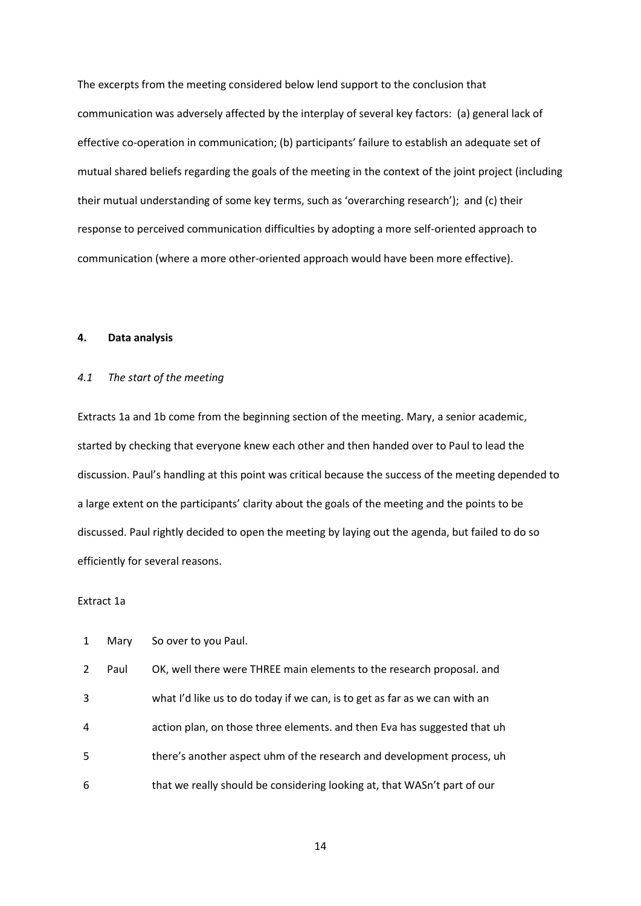The excerpts from the meeting considered below lend support to the conclusion that communication was adversely affected by the interplay of several key factors: (a) general lack of effective co-operation in communication; (b) participants' failure to establish an adequate set of mutual shared beliefs regarding the goals of the meeting in the context of the joint project (including their mutual understanding of some key terms, such as 'overarching research'); and (c) their response to perceived communication difficulties by adopting a more self-oriented approach to communication (where a more other-oriented approach would have been more effective).

#### **4. Data analysis**

## *4.1 The start of the meeting*

Extracts 1a and 1b come from the beginning section of the meeting. Mary, a senior academic, started by checking that everyone knew each other and then handed over to Paul to lead the discussion. Paul's handling at this point was critical because the success of the meeting depended to a large extent on the participants' clarity about the goals of the meeting and the points to be discussed. Paul rightly decided to open the meeting by laying out the agenda, but failed to do so efficiently for several reasons.

## Extract 1a

1 Mary So over to you Paul.

| 2              | Paul | OK, well there were THREE main elements to the research proposal. and      |
|----------------|------|----------------------------------------------------------------------------|
| 3              |      | what I'd like us to do today if we can, is to get as far as we can with an |
| $\overline{4}$ |      | action plan, on those three elements. and then Eva has suggested that uh   |
| 5              |      | there's another aspect uhm of the research and development process, uh     |
| 6              |      | that we really should be considering looking at, that WASn't part of our   |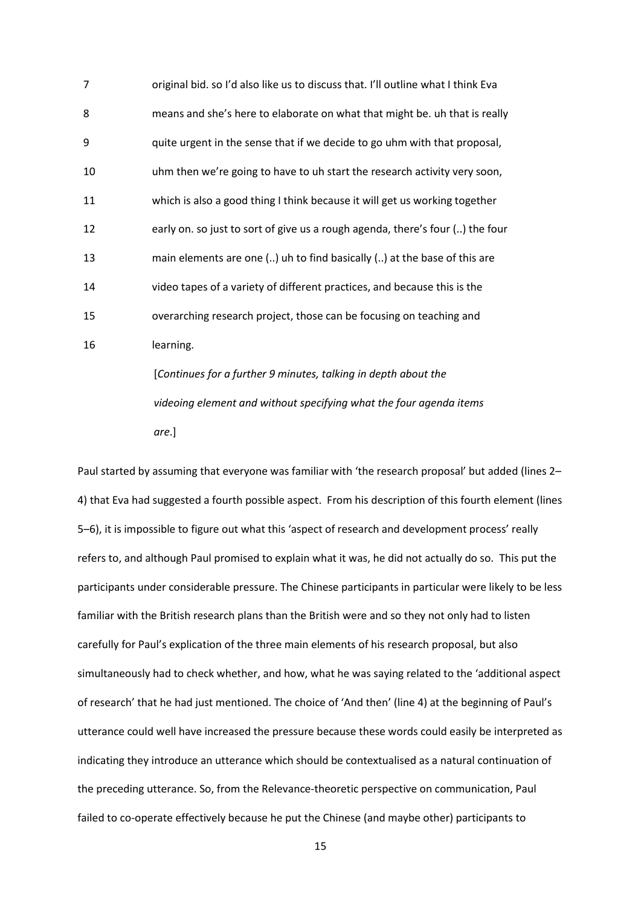| $\overline{7}$ | original bid. so I'd also like us to discuss that. I'll outline what I think Eva |
|----------------|----------------------------------------------------------------------------------|
| 8              | means and she's here to elaborate on what that might be. uh that is really       |
| 9              | quite urgent in the sense that if we decide to go uhm with that proposal,        |
| 10             | uhm then we're going to have to uh start the research activity very soon,        |
| 11             | which is also a good thing I think because it will get us working together       |
| 12             | early on. so just to sort of give us a rough agenda, there's four () the four    |
| 13             | main elements are one () uh to find basically () at the base of this are         |
| 14             | video tapes of a variety of different practices, and because this is the         |
| 15             | overarching research project, those can be focusing on teaching and              |
| 16             | learning.                                                                        |
|                | [Continues for a further 9 minutes, talking in depth about the                   |
|                |                                                                                  |

*videoing element and without specifying what the four agenda items are*.]

Paul started by assuming that everyone was familiar with 'the research proposal' but added (lines 2– 4) that Eva had suggested a fourth possible aspect. From his description of this fourth element (lines 5–6), it is impossible to figure out what this 'aspect of research and development process' really refers to, and although Paul promised to explain what it was, he did not actually do so. This put the participants under considerable pressure. The Chinese participants in particular were likely to be less familiar with the British research plans than the British were and so they not only had to listen carefully for Paul's explication of the three main elements of his research proposal, but also simultaneously had to check whether, and how, what he was saying related to the 'additional aspect of research' that he had just mentioned. The choice of 'And then' (line 4) at the beginning of Paul's utterance could well have increased the pressure because these words could easily be interpreted as indicating they introduce an utterance which should be contextualised as a natural continuation of the preceding utterance. So, from the Relevance-theoretic perspective on communication, Paul failed to co-operate effectively because he put the Chinese (and maybe other) participants to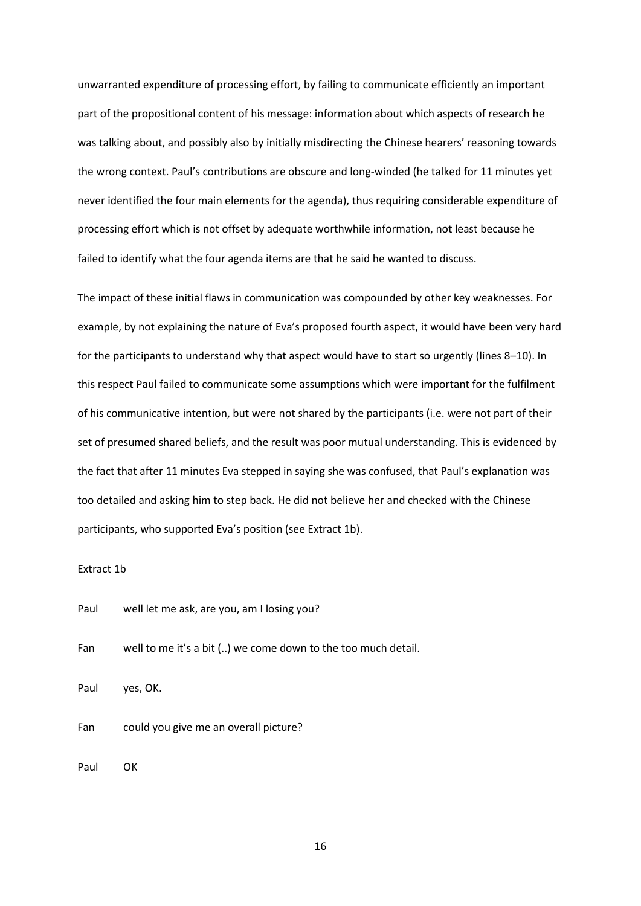unwarranted expenditure of processing effort, by failing to communicate efficiently an important part of the propositional content of his message: information about which aspects of research he was talking about, and possibly also by initially misdirecting the Chinese hearers' reasoning towards the wrong context. Paul's contributions are obscure and long-winded (he talked for 11 minutes yet never identified the four main elements for the agenda), thus requiring considerable expenditure of processing effort which is not offset by adequate worthwhile information, not least because he failed to identify what the four agenda items are that he said he wanted to discuss.

The impact of these initial flaws in communication was compounded by other key weaknesses. For example, by not explaining the nature of Eva's proposed fourth aspect, it would have been very hard for the participants to understand why that aspect would have to start so urgently (lines 8–10). In this respect Paul failed to communicate some assumptions which were important for the fulfilment of his communicative intention, but were not shared by the participants (i.e. were not part of their set of presumed shared beliefs, and the result was poor mutual understanding. This is evidenced by the fact that after 11 minutes Eva stepped in saying she was confused, that Paul's explanation was too detailed and asking him to step back. He did not believe her and checked with the Chinese participants, who supported Eva's position (see Extract 1b).

#### Extract 1b

| Paul | well let me ask, are you, am I losing you?                    |
|------|---------------------------------------------------------------|
| Fan  | well to me it's a bit () we come down to the too much detail. |
| Paul | yes, OK.                                                      |
| Fan  | could you give me an overall picture?                         |
| Paul | OK.                                                           |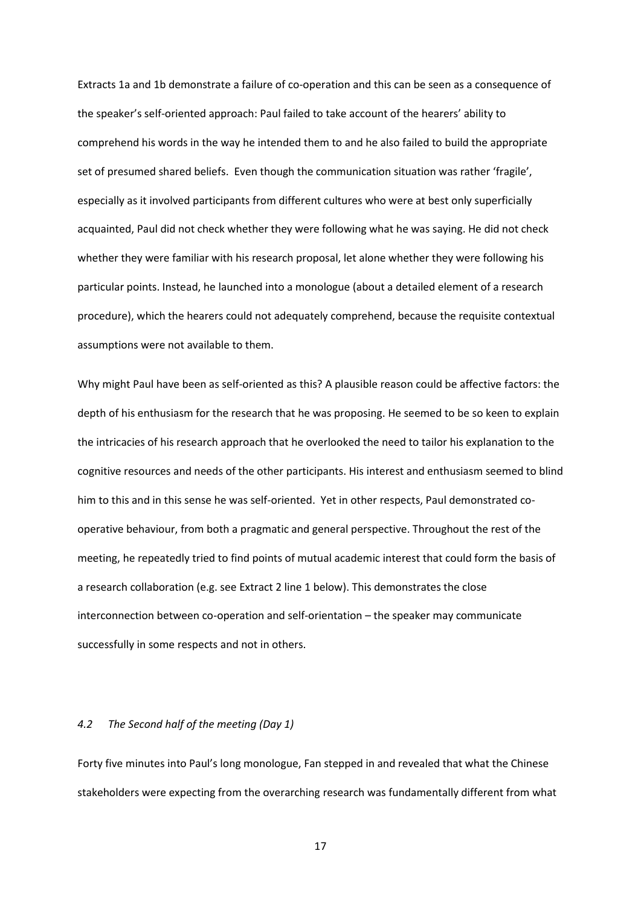Extracts 1a and 1b demonstrate a failure of co-operation and this can be seen as a consequence of the speaker's self-oriented approach: Paul failed to take account of the hearers' ability to comprehend his words in the way he intended them to and he also failed to build the appropriate set of presumed shared beliefs. Even though the communication situation was rather 'fragile', especially as it involved participants from different cultures who were at best only superficially acquainted, Paul did not check whether they were following what he was saying. He did not check whether they were familiar with his research proposal, let alone whether they were following his particular points. Instead, he launched into a monologue (about a detailed element of a research procedure), which the hearers could not adequately comprehend, because the requisite contextual assumptions were not available to them.

Why might Paul have been as self-oriented as this? A plausible reason could be affective factors: the depth of his enthusiasm for the research that he was proposing. He seemed to be so keen to explain the intricacies of his research approach that he overlooked the need to tailor his explanation to the cognitive resources and needs of the other participants. His interest and enthusiasm seemed to blind him to this and in this sense he was self-oriented. Yet in other respects, Paul demonstrated cooperative behaviour, from both a pragmatic and general perspective. Throughout the rest of the meeting, he repeatedly tried to find points of mutual academic interest that could form the basis of a research collaboration (e.g. see Extract 2 line 1 below). This demonstrates the close interconnection between co-operation and self-orientation – the speaker may communicate successfully in some respects and not in others.

## *4.2 The Second half of the meeting (Day 1)*

Forty five minutes into Paul's long monologue, Fan stepped in and revealed that what the Chinese stakeholders were expecting from the overarching research was fundamentally different from what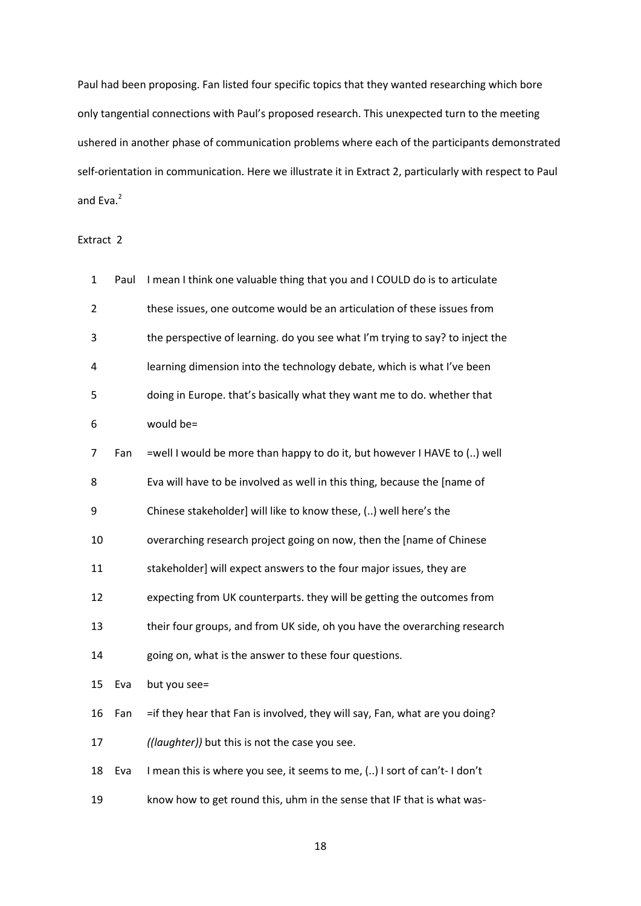Paul had been proposing. Fan listed four specific topics that they wanted researching which bore only tangential connections with Paul's proposed research. This unexpected turn to the meeting ushered in another phase of communication problems where each of the participants demonstrated self-orientation in communication. Here we illustrate it in Extract 2, particularly with respect to Paul and Eva.<sup>2</sup>

Extract 2

| 1              | Paul | I mean I think one valuable thing that you and I COULD do is to articulate    |
|----------------|------|-------------------------------------------------------------------------------|
| $\overline{2}$ |      | these issues, one outcome would be an articulation of these issues from       |
| 3              |      | the perspective of learning. do you see what I'm trying to say? to inject the |
| 4              |      | learning dimension into the technology debate, which is what I've been        |
| 5              |      | doing in Europe. that's basically what they want me to do. whether that       |
| 6              |      | would be=                                                                     |
| 7              | Fan  | =well I would be more than happy to do it, but however I HAVE to () well      |
| 8              |      | Eva will have to be involved as well in this thing, because the [name of      |
| 9              |      | Chinese stakeholder] will like to know these, () well here's the              |
| 10             |      | overarching research project going on now, then the [name of Chinese          |
| 11             |      | stakeholder] will expect answers to the four major issues, they are           |
| 12             |      | expecting from UK counterparts. they will be getting the outcomes from        |
| 13             |      | their four groups, and from UK side, oh you have the overarching research     |
| 14             |      | going on, what is the answer to these four questions.                         |
| 15             | Eva  | but you see=                                                                  |
| 16             | Fan  | =if they hear that Fan is involved, they will say, Fan, what are you doing?   |
| 17             |      | ((laughter)) but this is not the case you see.                                |
| 18             | Eva  | I mean this is where you see, it seems to me, () I sort of can't- I don't     |
| 19             |      | know how to get round this, uhm in the sense that IF that is what was-        |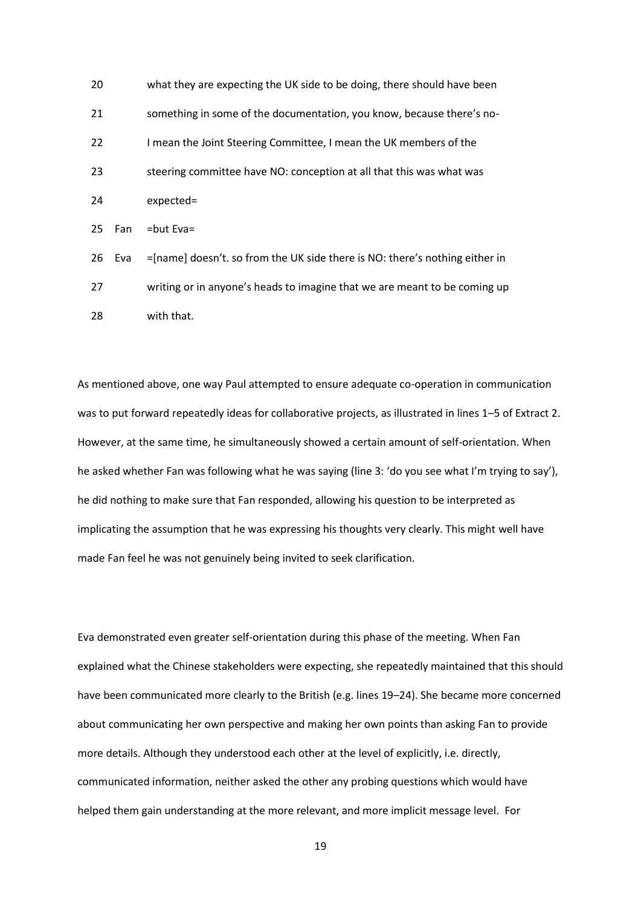| 20 |     | what they are expecting the UK side to be doing, there should have been        |
|----|-----|--------------------------------------------------------------------------------|
| 21 |     | something in some of the documentation, you know, because there's no-          |
| 22 |     | I mean the Joint Steering Committee, I mean the UK members of the              |
| 23 |     | steering committee have NO: conception at all that this was what was           |
| 24 |     | $expected=$                                                                    |
| 25 | Fan | $=$ but Eva $=$                                                                |
| 26 | Eva | $=$ [name] doesn't. so from the UK side there is NO: there's nothing either in |
| 27 |     | writing or in anyone's heads to imagine that we are meant to be coming up      |
| 28 |     | with that.                                                                     |

As mentioned above, one way Paul attempted to ensure adequate co-operation in communication was to put forward repeatedly ideas for collaborative projects, as illustrated in lines 1–5 of Extract 2. However, at the same time, he simultaneously showed a certain amount of self-orientation. When he asked whether Fan was following what he was saying (line 3: 'do you see what I'm trying to say'), he did nothing to make sure that Fan responded, allowing his question to be interpreted as implicating the assumption that he was expressing his thoughts very clearly. This might well have made Fan feel he was not genuinely being invited to seek clarification.

Eva demonstrated even greater self-orientation during this phase of the meeting. When Fan explained what the Chinese stakeholders were expecting, she repeatedly maintained that this should have been communicated more clearly to the British (e.g. lines 19–24). She became more concerned about communicating her own perspective and making her own points than asking Fan to provide more details. Although they understood each other at the level of explicitly, i.e. directly, communicated information, neither asked the other any probing questions which would have helped them gain understanding at the more relevant, and more implicit message level. For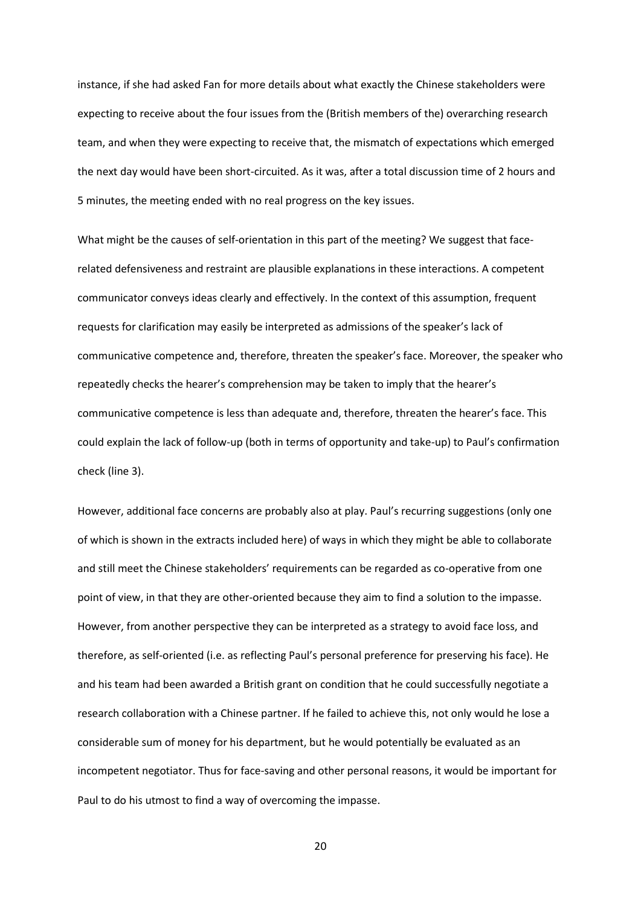instance, if she had asked Fan for more details about what exactly the Chinese stakeholders were expecting to receive about the four issues from the (British members of the) overarching research team, and when they were expecting to receive that, the mismatch of expectations which emerged the next day would have been short-circuited. As it was, after a total discussion time of 2 hours and 5 minutes, the meeting ended with no real progress on the key issues.

What might be the causes of self-orientation in this part of the meeting? We suggest that facerelated defensiveness and restraint are plausible explanations in these interactions. A competent communicator conveys ideas clearly and effectively. In the context of this assumption, frequent requests for clarification may easily be interpreted as admissions of the speaker's lack of communicative competence and, therefore, threaten the speaker's face. Moreover, the speaker who repeatedly checks the hearer's comprehension may be taken to imply that the hearer's communicative competence is less than adequate and, therefore, threaten the hearer's face. This could explain the lack of follow-up (both in terms of opportunity and take-up) to Paul's confirmation check (line 3).

However, additional face concerns are probably also at play. Paul's recurring suggestions (only one of which is shown in the extracts included here) of ways in which they might be able to collaborate and still meet the Chinese stakeholders' requirements can be regarded as co-operative from one point of view, in that they are other-oriented because they aim to find a solution to the impasse. However, from another perspective they can be interpreted as a strategy to avoid face loss, and therefore, as self-oriented (i.e. as reflecting Paul's personal preference for preserving his face). He and his team had been awarded a British grant on condition that he could successfully negotiate a research collaboration with a Chinese partner. If he failed to achieve this, not only would he lose a considerable sum of money for his department, but he would potentially be evaluated as an incompetent negotiator. Thus for face-saving and other personal reasons, it would be important for Paul to do his utmost to find a way of overcoming the impasse.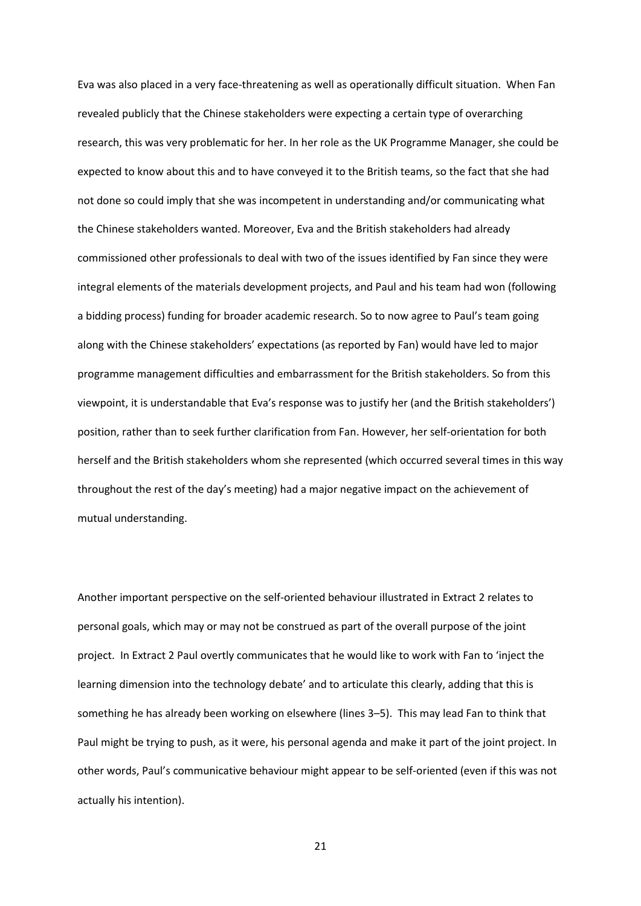Eva was also placed in a very face-threatening as well as operationally difficult situation. When Fan revealed publicly that the Chinese stakeholders were expecting a certain type of overarching research, this was very problematic for her. In her role as the UK Programme Manager, she could be expected to know about this and to have conveyed it to the British teams, so the fact that she had not done so could imply that she was incompetent in understanding and/or communicating what the Chinese stakeholders wanted. Moreover, Eva and the British stakeholders had already commissioned other professionals to deal with two of the issues identified by Fan since they were integral elements of the materials development projects, and Paul and his team had won (following a bidding process) funding for broader academic research. So to now agree to Paul's team going along with the Chinese stakeholders' expectations (as reported by Fan) would have led to major programme management difficulties and embarrassment for the British stakeholders. So from this viewpoint, it is understandable that Eva's response was to justify her (and the British stakeholders') position, rather than to seek further clarification from Fan. However, her self-orientation for both herself and the British stakeholders whom she represented (which occurred several times in this way throughout the rest of the day's meeting) had a major negative impact on the achievement of mutual understanding.

Another important perspective on the self-oriented behaviour illustrated in Extract 2 relates to personal goals, which may or may not be construed as part of the overall purpose of the joint project. In Extract 2 Paul overtly communicates that he would like to work with Fan to 'inject the learning dimension into the technology debate' and to articulate this clearly, adding that this is something he has already been working on elsewhere (lines 3–5). This may lead Fan to think that Paul might be trying to push, as it were, his personal agenda and make it part of the joint project. In other words, Paul's communicative behaviour might appear to be self-oriented (even if this was not actually his intention).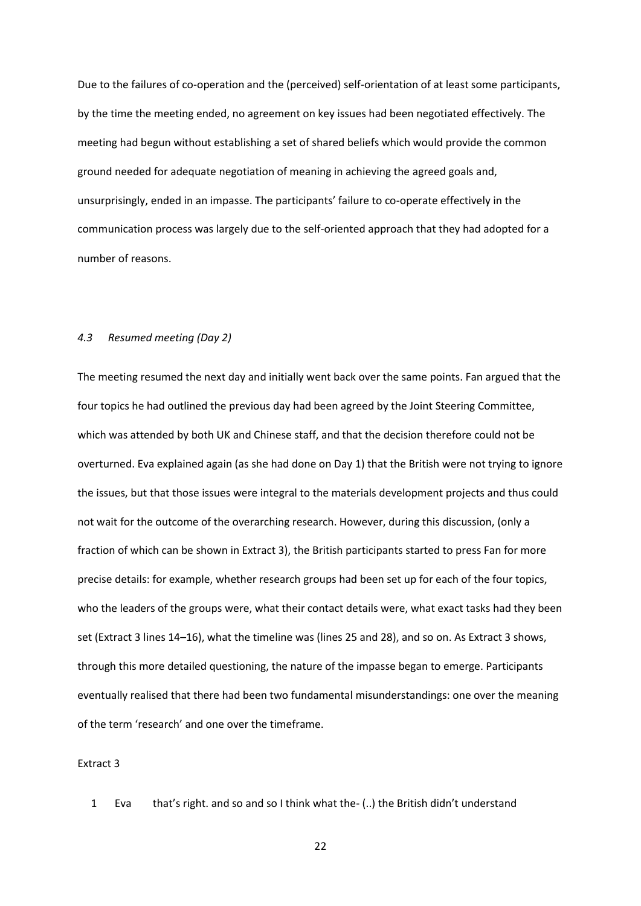Due to the failures of co-operation and the (perceived) self-orientation of at least some participants, by the time the meeting ended, no agreement on key issues had been negotiated effectively. The meeting had begun without establishing a set of shared beliefs which would provide the common ground needed for adequate negotiation of meaning in achieving the agreed goals and, unsurprisingly, ended in an impasse. The participants' failure to co-operate effectively in the communication process was largely due to the self-oriented approach that they had adopted for a number of reasons.

#### *4.3 Resumed meeting (Day 2)*

The meeting resumed the next day and initially went back over the same points. Fan argued that the four topics he had outlined the previous day had been agreed by the Joint Steering Committee, which was attended by both UK and Chinese staff, and that the decision therefore could not be overturned. Eva explained again (as she had done on Day 1) that the British were not trying to ignore the issues, but that those issues were integral to the materials development projects and thus could not wait for the outcome of the overarching research. However, during this discussion, (only a fraction of which can be shown in Extract 3), the British participants started to press Fan for more precise details: for example, whether research groups had been set up for each of the four topics, who the leaders of the groups were, what their contact details were, what exact tasks had they been set (Extract 3 lines 14–16), what the timeline was (lines 25 and 28), and so on. As Extract 3 shows, through this more detailed questioning, the nature of the impasse began to emerge. Participants eventually realised that there had been two fundamental misunderstandings: one over the meaning of the term 'research' and one over the timeframe.

### Extract 3

1 Eva that's right. and so and so I think what the- (..) the British didn't understand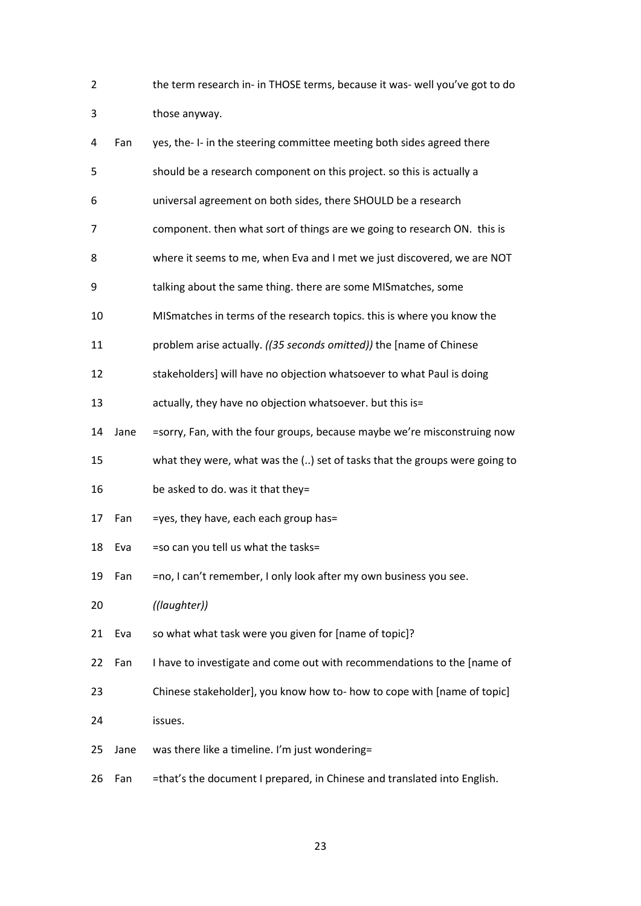2 3 the term research in- in THOSE terms, because it was- well you've got to do those anyway.

| 4  | Fan  | yes, the-I- in the steering committee meeting both sides agreed there      |
|----|------|----------------------------------------------------------------------------|
| 5  |      | should be a research component on this project. so this is actually a      |
| 6  |      | universal agreement on both sides, there SHOULD be a research              |
| 7  |      | component. then what sort of things are we going to research ON. this is   |
| 8  |      | where it seems to me, when Eva and I met we just discovered, we are NOT    |
| 9  |      | talking about the same thing. there are some MISmatches, some              |
| 10 |      | MISmatches in terms of the research topics. this is where you know the     |
| 11 |      | problem arise actually. ((35 seconds omitted)) the [name of Chinese        |
| 12 |      | stakeholders] will have no objection whatsoever to what Paul is doing      |
| 13 |      | actually, they have no objection whatsoever. but this is=                  |
| 14 | Jane | =sorry, Fan, with the four groups, because maybe we're misconstruing now   |
| 15 |      | what they were, what was the () set of tasks that the groups were going to |
| 16 |      | be asked to do. was it that they=                                          |
| 17 | Fan  | =yes, they have, each each group has=                                      |
| 18 | Eva  | =so can you tell us what the tasks=                                        |
| 19 | Fan  | =no, I can't remember, I only look after my own business you see.          |
| 20 |      | ((laughter))                                                               |
| 21 | Eva  | so what what task were you given for [name of topic]?                      |
| 22 | Fan  | I have to investigate and come out with recommendations to the [name of    |
| 23 |      | Chinese stakeholder], you know how to- how to cope with [name of topic]    |
| 24 |      | issues.                                                                    |
| 25 | Jane | was there like a timeline. I'm just wondering=                             |
| 26 | Fan  | =that's the document I prepared, in Chinese and translated into English.   |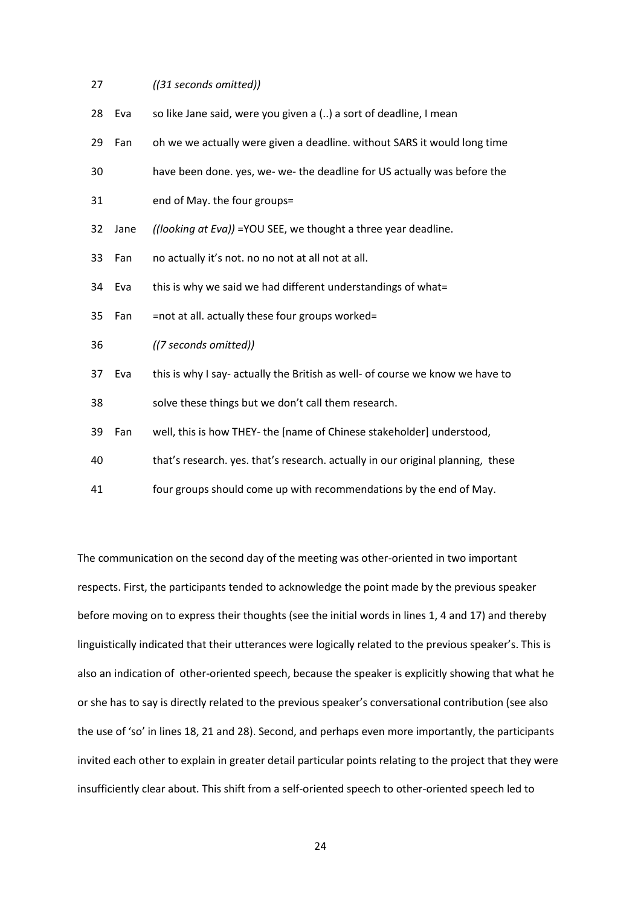| 27 |      | ((31 seconds omitted))                                                          |
|----|------|---------------------------------------------------------------------------------|
| 28 | Eva  | so like Jane said, were you given a () a sort of deadline, I mean               |
| 29 | Fan  | oh we we actually were given a deadline. without SARS it would long time        |
| 30 |      | have been done. yes, we- we- the deadline for US actually was before the        |
| 31 |      | end of May. the four groups=                                                    |
| 32 | Jane | ((looking at Eva)) = YOU SEE, we thought a three year deadline.                 |
| 33 | Fan  | no actually it's not. no no not at all not at all.                              |
| 34 | Eva  | this is why we said we had different understandings of what=                    |
| 35 | Fan  | =not at all. actually these four groups worked=                                 |
| 36 |      | ((7 seconds omitted))                                                           |
| 37 | Eva  | this is why I say- actually the British as well- of course we know we have to   |
| 38 |      | solve these things but we don't call them research.                             |
| 39 | Fan  | well, this is how THEY- the [name of Chinese stakeholder] understood,           |
| 40 |      | that's research. yes. that's research. actually in our original planning, these |
| 41 |      | four groups should come up with recommendations by the end of May.              |

The communication on the second day of the meeting was other-oriented in two important respects. First, the participants tended to acknowledge the point made by the previous speaker before moving on to express their thoughts (see the initial words in lines 1, 4 and 17) and thereby linguistically indicated that their utterances were logically related to the previous speaker's. This is also an indication of other-oriented speech, because the speaker is explicitly showing that what he or she has to say is directly related to the previous speaker's conversational contribution (see also the use of 'so' in lines 18, 21 and 28). Second, and perhaps even more importantly, the participants invited each other to explain in greater detail particular points relating to the project that they were insufficiently clear about. This shift from a self-oriented speech to other-oriented speech led to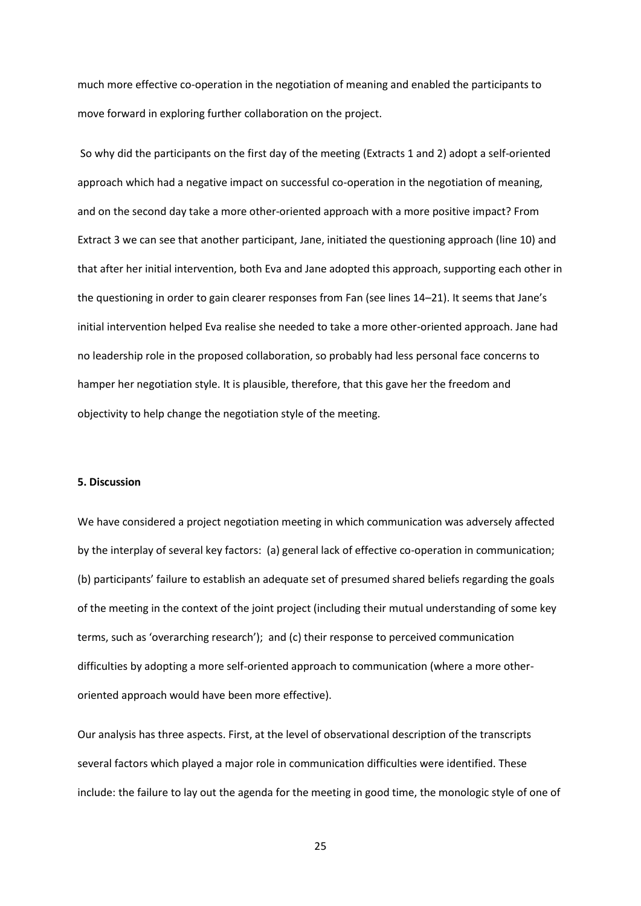much more effective co-operation in the negotiation of meaning and enabled the participants to move forward in exploring further collaboration on the project.

So why did the participants on the first day of the meeting (Extracts 1 and 2) adopt a self-oriented approach which had a negative impact on successful co-operation in the negotiation of meaning, and on the second day take a more other-oriented approach with a more positive impact? From Extract 3 we can see that another participant, Jane, initiated the questioning approach (line 10) and that after her initial intervention, both Eva and Jane adopted this approach, supporting each other in the questioning in order to gain clearer responses from Fan (see lines 14–21). It seems that Jane's initial intervention helped Eva realise she needed to take a more other-oriented approach. Jane had no leadership role in the proposed collaboration, so probably had less personal face concerns to hamper her negotiation style. It is plausible, therefore, that this gave her the freedom and objectivity to help change the negotiation style of the meeting.

## **5. Discussion**

We have considered a project negotiation meeting in which communication was adversely affected by the interplay of several key factors: (a) general lack of effective co-operation in communication; (b) participants' failure to establish an adequate set of presumed shared beliefs regarding the goals of the meeting in the context of the joint project (including their mutual understanding of some key terms, such as 'overarching research'); and (c) their response to perceived communication difficulties by adopting a more self-oriented approach to communication (where a more otheroriented approach would have been more effective).

Our analysis has three aspects. First, at the level of observational description of the transcripts several factors which played a major role in communication difficulties were identified. These include: the failure to lay out the agenda for the meeting in good time, the monologic style of one of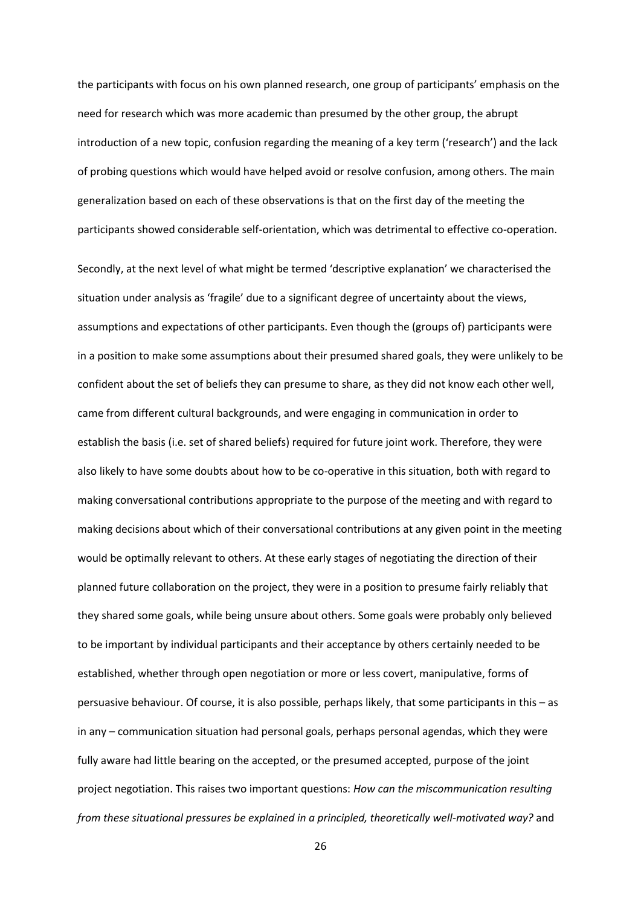the participants with focus on his own planned research, one group of participants' emphasis on the need for research which was more academic than presumed by the other group, the abrupt introduction of a new topic, confusion regarding the meaning of a key term ('research') and the lack of probing questions which would have helped avoid or resolve confusion, among others. The main generalization based on each of these observations is that on the first day of the meeting the participants showed considerable self-orientation, which was detrimental to effective co-operation.

Secondly, at the next level of what might be termed 'descriptive explanation' we characterised the situation under analysis as 'fragile' due to a significant degree of uncertainty about the views, assumptions and expectations of other participants. Even though the (groups of) participants were in a position to make some assumptions about their presumed shared goals, they were unlikely to be confident about the set of beliefs they can presume to share, as they did not know each other well, came from different cultural backgrounds, and were engaging in communication in order to establish the basis (i.e. set of shared beliefs) required for future joint work. Therefore, they were also likely to have some doubts about how to be co-operative in this situation, both with regard to making conversational contributions appropriate to the purpose of the meeting and with regard to making decisions about which of their conversational contributions at any given point in the meeting would be optimally relevant to others. At these early stages of negotiating the direction of their planned future collaboration on the project, they were in a position to presume fairly reliably that they shared some goals, while being unsure about others. Some goals were probably only believed to be important by individual participants and their acceptance by others certainly needed to be established, whether through open negotiation or more or less covert, manipulative, forms of persuasive behaviour. Of course, it is also possible, perhaps likely, that some participants in this – as in any – communication situation had personal goals, perhaps personal agendas, which they were fully aware had little bearing on the accepted, or the presumed accepted, purpose of the joint project negotiation. This raises two important questions: *How can the miscommunication resulting from these situational pressures be explained in a principled, theoretically well-motivated way?* and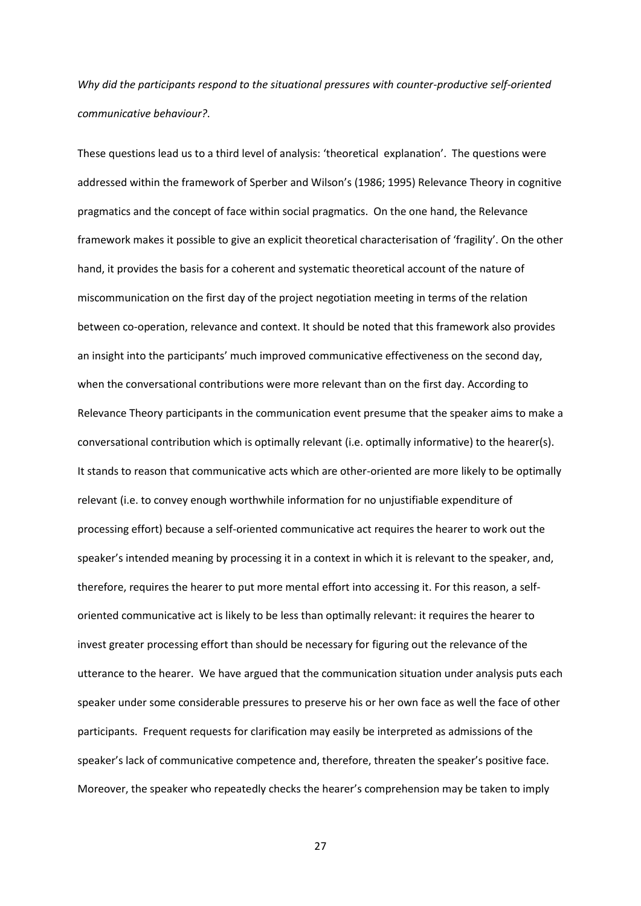*Why did the participants respond to the situational pressures with counter-productive self-oriented communicative behaviour?*.

These questions lead us to a third level of analysis: 'theoretical explanation'. The questions were addressed within the framework of Sperber and Wilson's (1986; 1995) Relevance Theory in cognitive pragmatics and the concept of face within social pragmatics. On the one hand, the Relevance framework makes it possible to give an explicit theoretical characterisation of 'fragility'. On the other hand, it provides the basis for a coherent and systematic theoretical account of the nature of miscommunication on the first day of the project negotiation meeting in terms of the relation between co-operation, relevance and context. It should be noted that this framework also provides an insight into the participants' much improved communicative effectiveness on the second day, when the conversational contributions were more relevant than on the first day. According to Relevance Theory participants in the communication event presume that the speaker aims to make a conversational contribution which is optimally relevant (i.e. optimally informative) to the hearer(s). It stands to reason that communicative acts which are other-oriented are more likely to be optimally relevant (i.e. to convey enough worthwhile information for no unjustifiable expenditure of processing effort) because a self-oriented communicative act requires the hearer to work out the speaker's intended meaning by processing it in a context in which it is relevant to the speaker, and, therefore, requires the hearer to put more mental effort into accessing it. For this reason, a selforiented communicative act is likely to be less than optimally relevant: it requires the hearer to invest greater processing effort than should be necessary for figuring out the relevance of the utterance to the hearer. We have argued that the communication situation under analysis puts each speaker under some considerable pressures to preserve his or her own face as well the face of other participants. Frequent requests for clarification may easily be interpreted as admissions of the speaker's lack of communicative competence and, therefore, threaten the speaker's positive face. Moreover, the speaker who repeatedly checks the hearer's comprehension may be taken to imply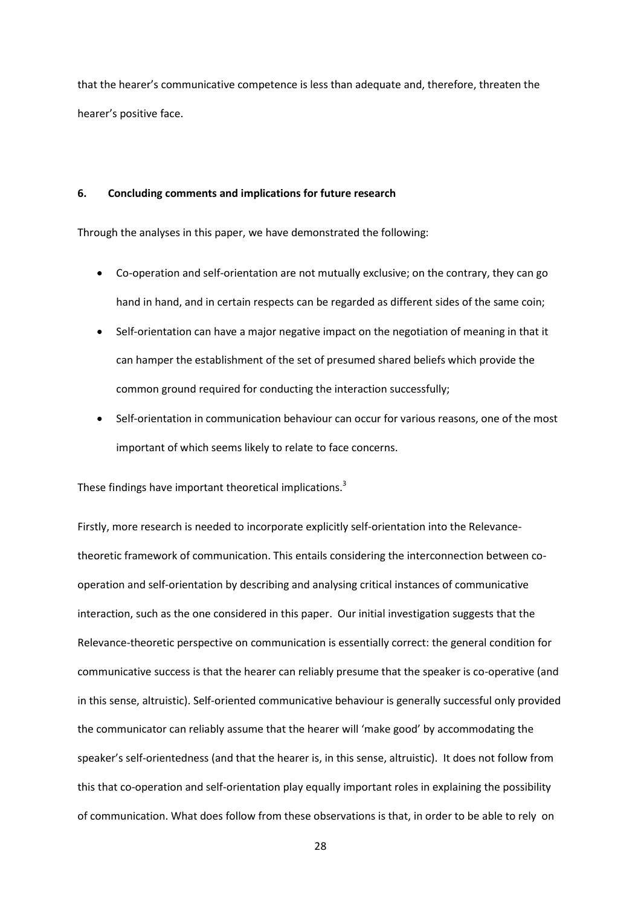that the hearer's communicative competence is less than adequate and, therefore, threaten the hearer's positive face.

## **6. Concluding comments and implications for future research**

Through the analyses in this paper, we have demonstrated the following:

- Co-operation and self-orientation are not mutually exclusive; on the contrary, they can go hand in hand, and in certain respects can be regarded as different sides of the same coin;
- Self-orientation can have a major negative impact on the negotiation of meaning in that it can hamper the establishment of the set of presumed shared beliefs which provide the common ground required for conducting the interaction successfully;
- Self-orientation in communication behaviour can occur for various reasons, one of the most important of which seems likely to relate to face concerns.

These findings have important theoretical implications.<sup>3</sup>

Firstly, more research is needed to incorporate explicitly self-orientation into the Relevancetheoretic framework of communication. This entails considering the interconnection between cooperation and self-orientation by describing and analysing critical instances of communicative interaction, such as the one considered in this paper. Our initial investigation suggests that the Relevance-theoretic perspective on communication is essentially correct: the general condition for communicative success is that the hearer can reliably presume that the speaker is co-operative (and in this sense, altruistic). Self-oriented communicative behaviour is generally successful only provided the communicator can reliably assume that the hearer will 'make good' by accommodating the speaker's self-orientedness (and that the hearer is, in this sense, altruistic). It does not follow from this that co-operation and self-orientation play equally important roles in explaining the possibility of communication. What does follow from these observations is that, in order to be able to rely on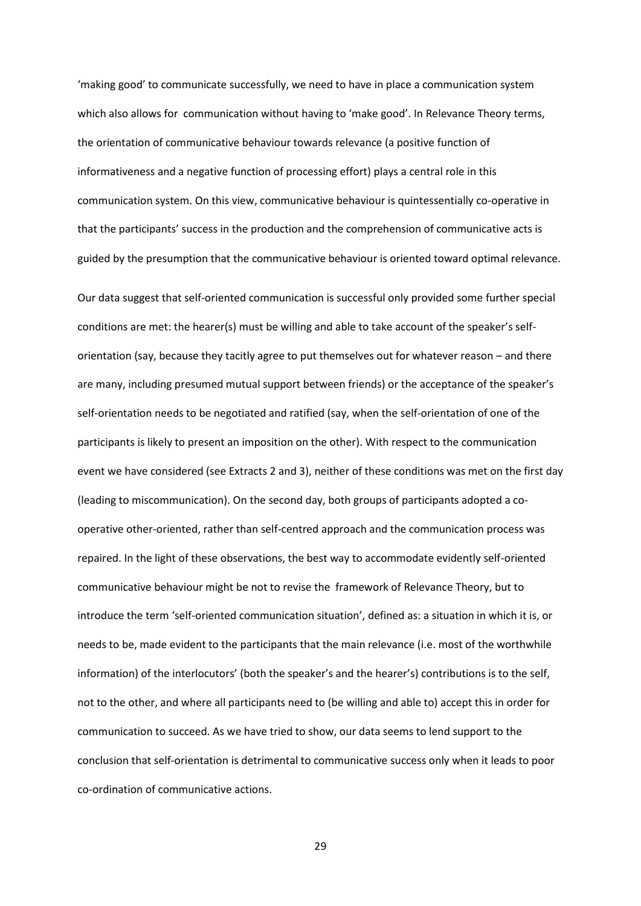'making good' to communicate successfully, we need to have in place a communication system which also allows for communication without having to 'make good'. In Relevance Theory terms, the orientation of communicative behaviour towards relevance (a positive function of informativeness and a negative function of processing effort) plays a central role in this communication system. On this view, communicative behaviour is quintessentially co-operative in that the participants' success in the production and the comprehension of communicative acts is guided by the presumption that the communicative behaviour is oriented toward optimal relevance.

Our data suggest that self-oriented communication is successful only provided some further special conditions are met: the hearer(s) must be willing and able to take account of the speaker's selforientation (say, because they tacitly agree to put themselves out for whatever reason – and there are many, including presumed mutual support between friends) or the acceptance of the speaker's self-orientation needs to be negotiated and ratified (say, when the self-orientation of one of the participants is likely to present an imposition on the other). With respect to the communication event we have considered (see Extracts 2 and 3), neither of these conditions was met on the first day (leading to miscommunication). On the second day, both groups of participants adopted a cooperative other-oriented, rather than self-centred approach and the communication process was repaired. In the light of these observations, the best way to accommodate evidently self-oriented communicative behaviour might be not to revise the framework of Relevance Theory, but to introduce the term 'self-oriented communication situation', defined as: a situation in which it is, or needs to be, made evident to the participants that the main relevance (i.e. most of the worthwhile information) of the interlocutors' (both the speaker's and the hearer's) contributions is to the self, not to the other, and where all participants need to (be willing and able to) accept this in order for communication to succeed. As we have tried to show, our data seems to lend support to the conclusion that self-orientation is detrimental to communicative success only when it leads to poor co-ordination of communicative actions.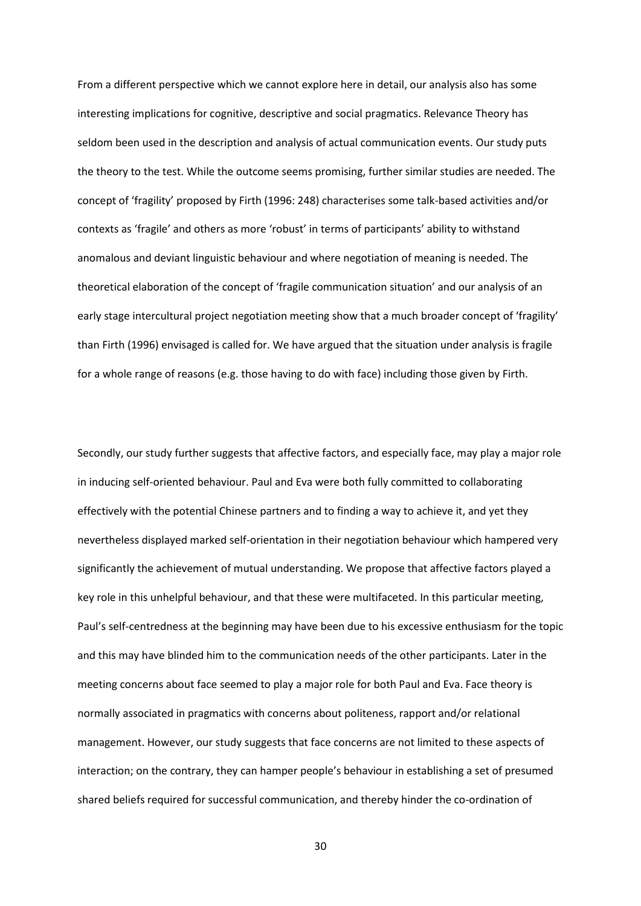From a different perspective which we cannot explore here in detail, our analysis also has some interesting implications for cognitive, descriptive and social pragmatics. Relevance Theory has seldom been used in the description and analysis of actual communication events. Our study puts the theory to the test. While the outcome seems promising, further similar studies are needed. The concept of 'fragility' proposed by Firth (1996: 248) characterises some talk-based activities and/or contexts as 'fragile' and others as more 'robust' in terms of participants' ability to withstand anomalous and deviant linguistic behaviour and where negotiation of meaning is needed. The theoretical elaboration of the concept of 'fragile communication situation' and our analysis of an early stage intercultural project negotiation meeting show that a much broader concept of 'fragility' than Firth (1996) envisaged is called for. We have argued that the situation under analysis is fragile for a whole range of reasons (e.g. those having to do with face) including those given by Firth.

Secondly, our study further suggests that affective factors, and especially face, may play a major role in inducing self-oriented behaviour. Paul and Eva were both fully committed to collaborating effectively with the potential Chinese partners and to finding a way to achieve it, and yet they nevertheless displayed marked self-orientation in their negotiation behaviour which hampered very significantly the achievement of mutual understanding. We propose that affective factors played a key role in this unhelpful behaviour, and that these were multifaceted. In this particular meeting, Paul's self-centredness at the beginning may have been due to his excessive enthusiasm for the topic and this may have blinded him to the communication needs of the other participants. Later in the meeting concerns about face seemed to play a major role for both Paul and Eva. Face theory is normally associated in pragmatics with concerns about politeness, rapport and/or relational management. However, our study suggests that face concerns are not limited to these aspects of interaction; on the contrary, they can hamper people's behaviour in establishing a set of presumed shared beliefs required for successful communication, and thereby hinder the co-ordination of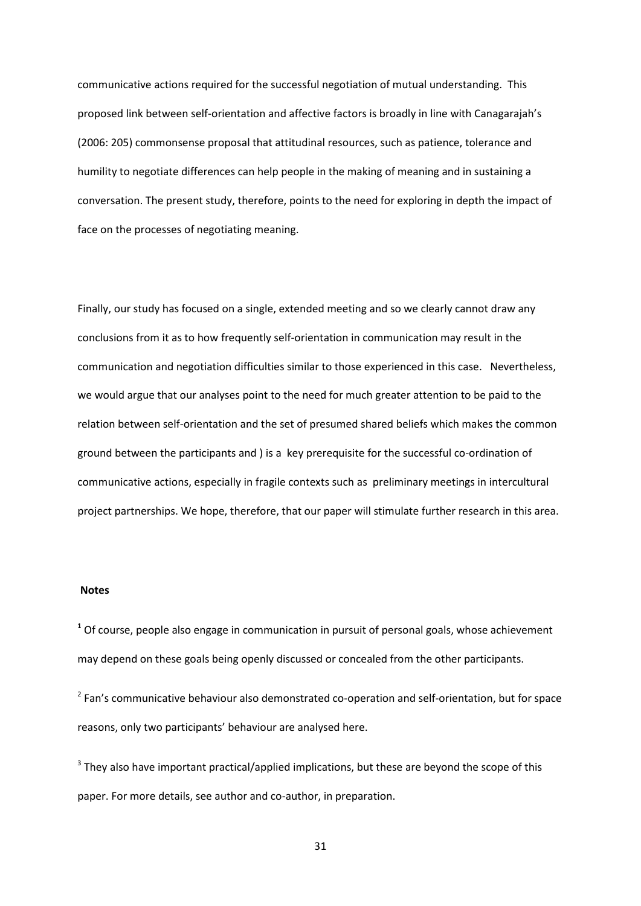communicative actions required for the successful negotiation of mutual understanding. This proposed link between self-orientation and affective factors is broadly in line with Canagarajah's (2006: 205) commonsense proposal that attitudinal resources, such as patience, tolerance and humility to negotiate differences can help people in the making of meaning and in sustaining a conversation. The present study, therefore, points to the need for exploring in depth the impact of face on the processes of negotiating meaning.

Finally, our study has focused on a single, extended meeting and so we clearly cannot draw any conclusions from it as to how frequently self-orientation in communication may result in the communication and negotiation difficulties similar to those experienced in this case. Nevertheless, we would argue that our analyses point to the need for much greater attention to be paid to the relation between self-orientation and the set of presumed shared beliefs which makes the common ground between the participants and ) is a key prerequisite for the successful co-ordination of communicative actions, especially in fragile contexts such as preliminary meetings in intercultural project partnerships. We hope, therefore, that our paper will stimulate further research in this area.

## **Notes**

**<sup>1</sup>** Of course, people also engage in communication in pursuit of personal goals, whose achievement may depend on these goals being openly discussed or concealed from the other participants.

<sup>2</sup> Fan's communicative behaviour also demonstrated co-operation and self-orientation, but for space reasons, only two participants' behaviour are analysed here.

 $3$  They also have important practical/applied implications, but these are beyond the scope of this paper. For more details, see author and co-author, in preparation.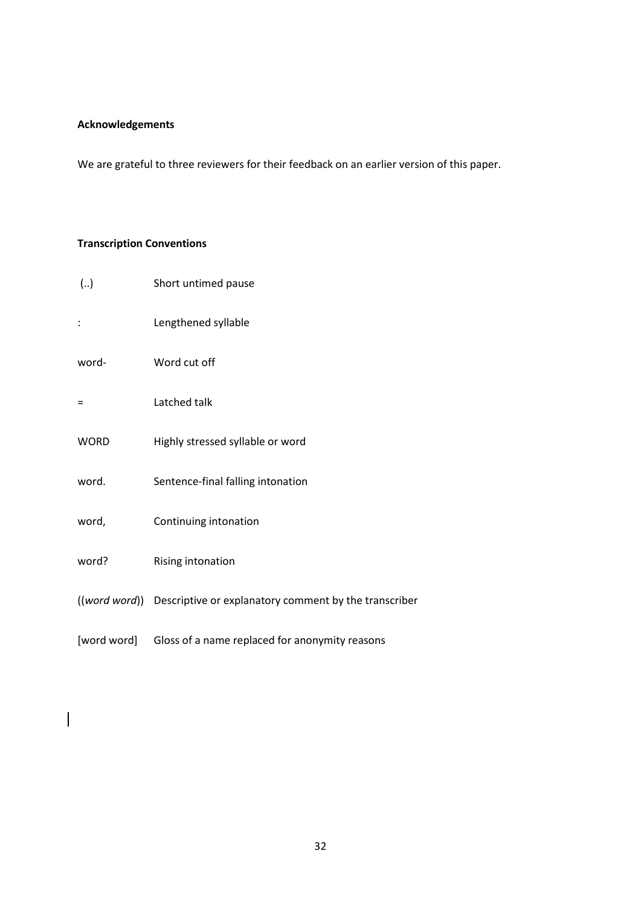# **Acknowledgements**

We are grateful to three reviewers for their feedback on an earlier version of this paper.

# **Transcription Conventions**

 $\overline{\phantom{a}}$ 

| $\left( \ldots \right)$ | Short untimed pause                                                 |
|-------------------------|---------------------------------------------------------------------|
| $\ddot{\cdot}$          | Lengthened syllable                                                 |
| word-                   | Word cut off                                                        |
| $=$                     | Latched talk                                                        |
| <b>WORD</b>             | Highly stressed syllable or word                                    |
| word.                   | Sentence-final falling intonation                                   |
| word,                   | Continuing intonation                                               |
| word?                   | Rising intonation                                                   |
|                         | ((word word)) Descriptive or explanatory comment by the transcriber |
| [word word]             | Gloss of a name replaced for anonymity reasons                      |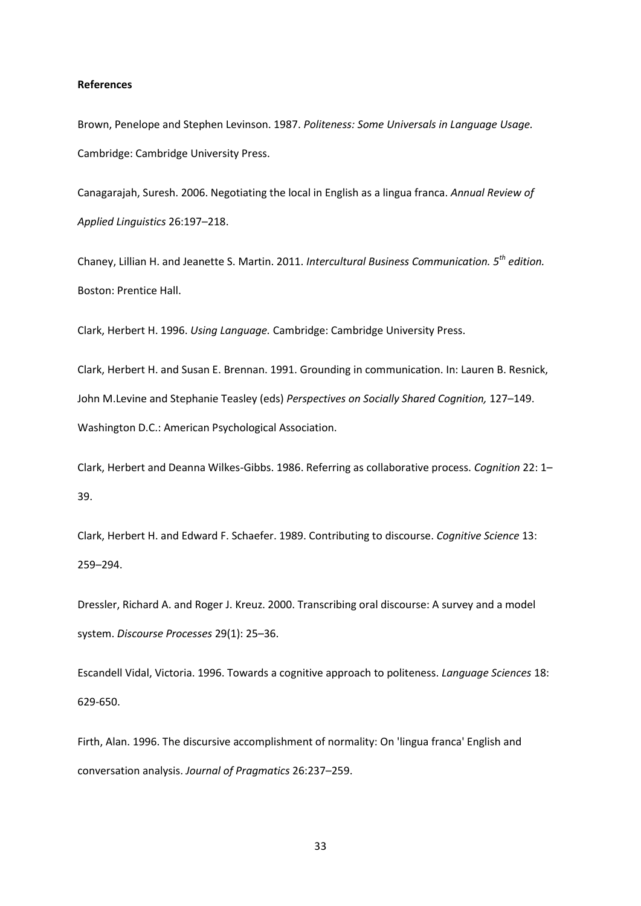#### **References**

Brown, Penelope and Stephen Levinson. 1987. *Politeness: Some Universals in Language Usage.*  Cambridge: Cambridge University Press.

Canagarajah, Suresh. 2006. Negotiating the local in English as a lingua franca. *Annual Review of Applied Linguistics* 26:197–218.

Chaney, Lillian H. and Jeanette S. Martin. 2011. *Intercultural Business Communication. 5 th edition.*  Boston: Prentice Hall.

Clark, Herbert H. 1996. *Using Language.* Cambridge: Cambridge University Press.

Clark, Herbert H. and Susan E. Brennan. 1991. Grounding in communication. In: Lauren B. Resnick, John M.Levine and Stephanie Teasley (eds) *Perspectives on Socially Shared Cognition,* 127–149. Washington D.C.: American Psychological Association.

Clark, Herbert and Deanna Wilkes-Gibbs. 1986. Referring as collaborative process. *Cognition* 22: 1– 39.

Clark, Herbert H. and Edward F. Schaefer. 1989. Contributing to discourse. *Cognitive Science* 13: 259–294.

Dressler, Richard A. and Roger J. Kreuz. 2000. Transcribing oral discourse: A survey and a model system. *Discourse Processes* 29(1): 25–36.

Escandell Vidal, Victoria. 1996. Towards a cognitive approach to politeness. *Language Sciences* 18: 629-650.

Firth, Alan. 1996. The discursive accomplishment of normality: On 'lingua franca' English and conversation analysis. *Journal of Pragmatics* 26:237–259.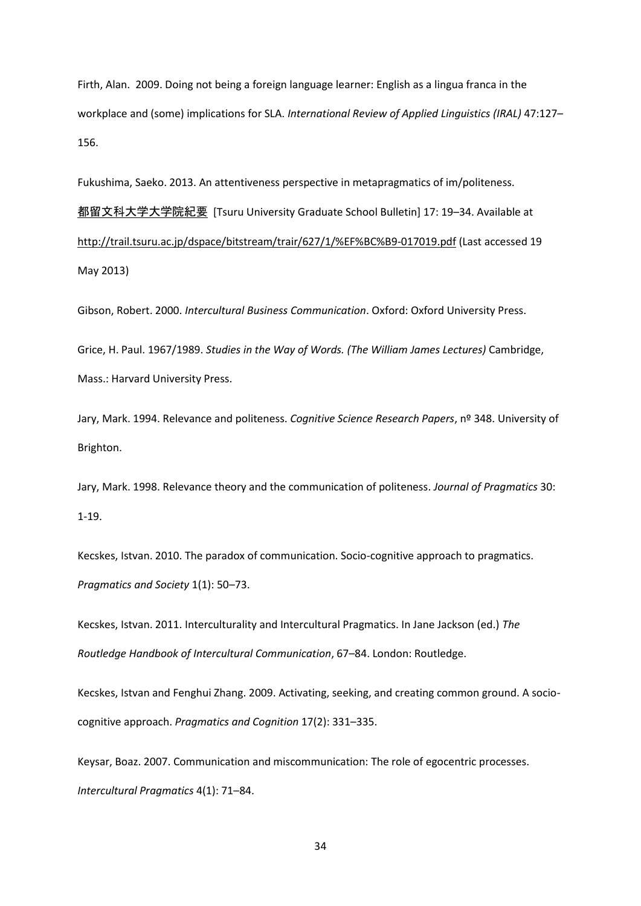Firth, Alan. 2009. Doing not being a foreign language learner: English as a lingua franca in the workplace and (some) implications for SLA. *International Review of Applied Linguistics (IRAL)* 47:127– 156.

Fukushima, Saeko. 2013. An attentiveness perspective in metapragmatics of im/politeness. [都留文科大学大学院紀要](javascript:searchScMaLinkEsc() [Tsuru University Graduate School Bulletin] 17: 19–34. Available at <http://trail.tsuru.ac.jp/dspace/bitstream/trair/627/1/%EF%BC%B9-017019.pdf> (Last accessed 19 May 2013)

Gibson, Robert. 2000. *Intercultural Business Communication*. Oxford: Oxford University Press.

Grice, H. Paul. 1967/1989. *Studies in the Way of Words. (The William James Lectures)* Cambridge, Mass.: Harvard University Press.

Jary, Mark. 1994. Relevance and politeness. *Cognitive Science Research Papers*, nº 348. University of Brighton.

Jary, Mark. 1998. Relevance theory and the communication of politeness. *Journal of Pragmatics* 30: 1-19.

Kecskes, Istvan. 2010. The paradox of communication. Socio-cognitive approach to pragmatics. *Pragmatics and Society* 1(1): 50–73.

Kecskes, Istvan. 2011. Interculturality and Intercultural Pragmatics. In Jane Jackson (ed.) *The Routledge Handbook of Intercultural Communication*, 67–84. London: Routledge.

Kecskes, Istvan and Fenghui Zhang. 2009. Activating, seeking, and creating common ground. A sociocognitive approach. *Pragmatics and Cognition* 17(2): 331–335.

Keysar, Boaz. 2007. Communication and miscommunication: The role of egocentric processes. *Intercultural Pragmatics* 4(1): 71–84.